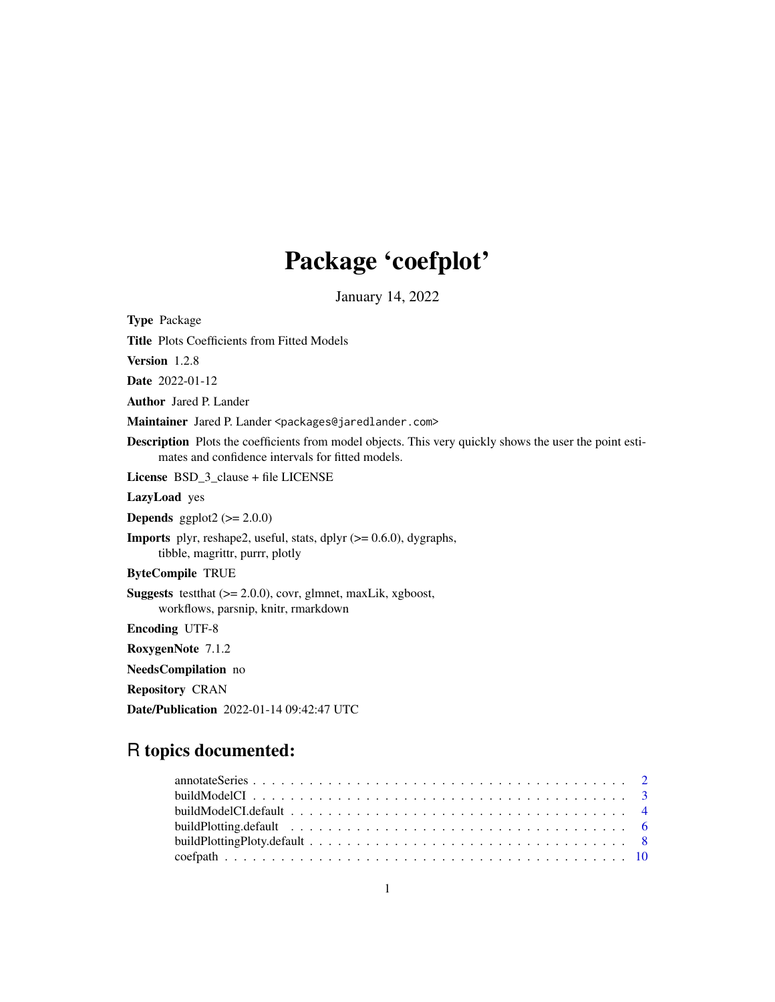# Package 'coefplot'

January 14, 2022

<span id="page-0-0"></span>Type Package Title Plots Coefficients from Fitted Models Version 1.2.8 Date 2022-01-12 Author Jared P. Lander Maintainer Jared P. Lander <packages@jaredlander.com> Description Plots the coefficients from model objects. This very quickly shows the user the point estimates and confidence intervals for fitted models. License BSD\_3\_clause + file LICENSE LazyLoad yes **Depends** ggplot2  $(>= 2.0.0)$ **Imports** plyr, reshape2, useful, stats, dplyr  $(>= 0.6.0)$ , dygraphs, tibble, magrittr, purrr, plotly ByteCompile TRUE Suggests testthat (>= 2.0.0), covr, glmnet, maxLik, xgboost, workflows, parsnip, knitr, rmarkdown Encoding UTF-8 RoxygenNote 7.1.2 NeedsCompilation no Repository CRAN Date/Publication 2022-01-14 09:42:47 UTC

# R topics documented: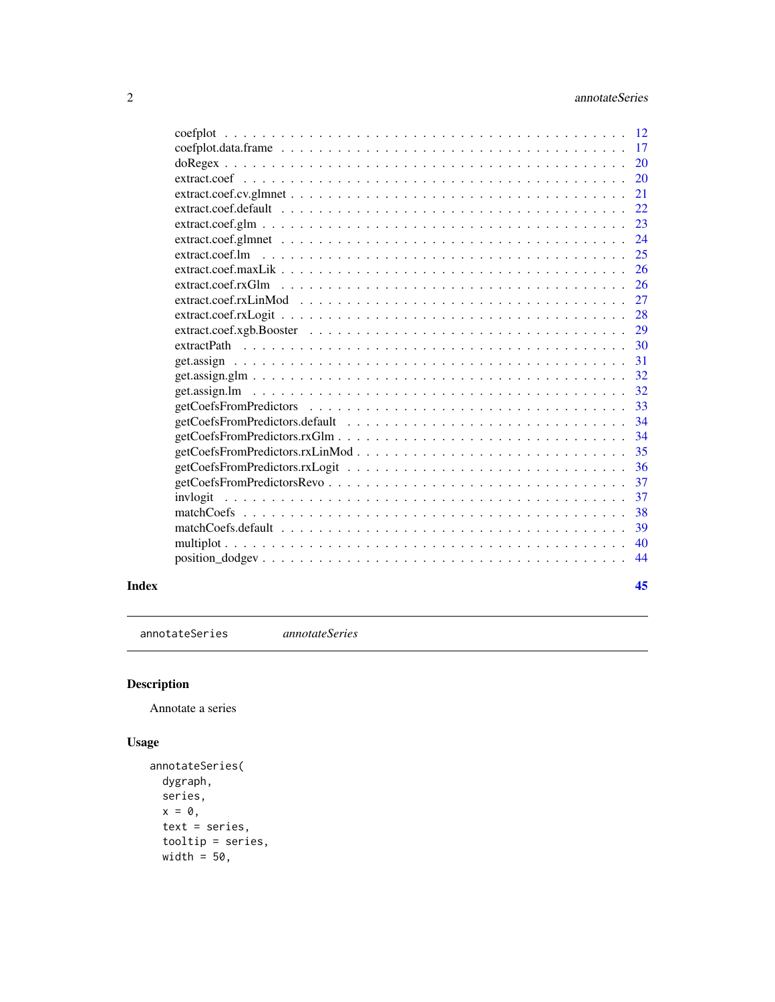<span id="page-1-0"></span>

| coefplot                                                                                               | 12 |
|--------------------------------------------------------------------------------------------------------|----|
|                                                                                                        | 17 |
|                                                                                                        | 20 |
|                                                                                                        | 20 |
|                                                                                                        | 21 |
|                                                                                                        | 22 |
|                                                                                                        | 23 |
|                                                                                                        | 24 |
|                                                                                                        | 25 |
|                                                                                                        | 26 |
|                                                                                                        | 26 |
|                                                                                                        | 27 |
|                                                                                                        | 28 |
|                                                                                                        |    |
|                                                                                                        | 29 |
|                                                                                                        | 30 |
|                                                                                                        | 31 |
|                                                                                                        | 32 |
|                                                                                                        | 32 |
|                                                                                                        | 33 |
|                                                                                                        | 34 |
|                                                                                                        | 34 |
|                                                                                                        | 35 |
|                                                                                                        | 36 |
|                                                                                                        | 37 |
| invlogit                                                                                               | 37 |
|                                                                                                        | 38 |
|                                                                                                        | 39 |
|                                                                                                        | 40 |
| $position\_dodgev \ldots \ldots \ldots \ldots \ldots \ldots \ldots \ldots \ldots \ldots \ldots \ldots$ | 44 |
|                                                                                                        |    |

#### **Index** [45](#page-44-0)

annotateSeries *annotateSeries*

# Description

Annotate a series

# Usage

```
annotateSeries(
 dygraph,
 series,
 x = 0,
 text = series,
 tooltip = series,
 width = 50,
```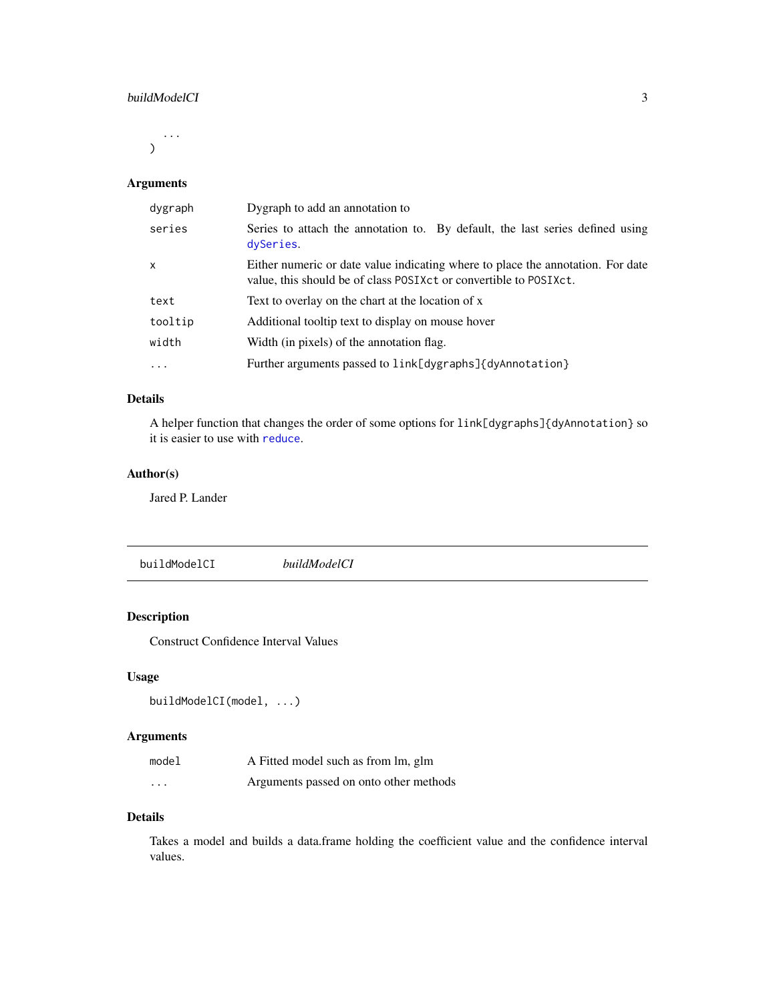#### <span id="page-2-0"></span>buildModelCI 3

...  $\mathcal{L}$ 

# Arguments

| dygraph      | Dygraph to add an annotation to                                                                                                                        |
|--------------|--------------------------------------------------------------------------------------------------------------------------------------------------------|
| series       | Series to attach the annotation to. By default, the last series defined using<br>dySeries.                                                             |
| $\mathsf{x}$ | Either numeric or date value indicating where to place the annotation. For date<br>value, this should be of class POSIX ct or convertible to POSIX ct. |
| text         | Text to overlay on the chart at the location of x                                                                                                      |
| tooltip      | Additional tooltip text to display on mouse hover                                                                                                      |
| width        | Width (in pixels) of the annotation flag.                                                                                                              |
| $\ddots$     | Further arguments passed to link[dygraphs]{dyAnnotation}                                                                                               |

# Details

A helper function that changes the order of some options for link[dygraphs]{dyAnnotation} so it is easier to use with [reduce](#page-0-0).

# Author(s)

Jared P. Lander

<span id="page-2-1"></span>buildModelCI *buildModelCI*

# Description

Construct Confidence Interval Values

# Usage

```
buildModelCI(model, ...)
```
# Arguments

| model                   | A Fitted model such as from lm, glm    |
|-------------------------|----------------------------------------|
| $\cdot$ $\cdot$ $\cdot$ | Arguments passed on onto other methods |

#### Details

Takes a model and builds a data.frame holding the coefficient value and the confidence interval values.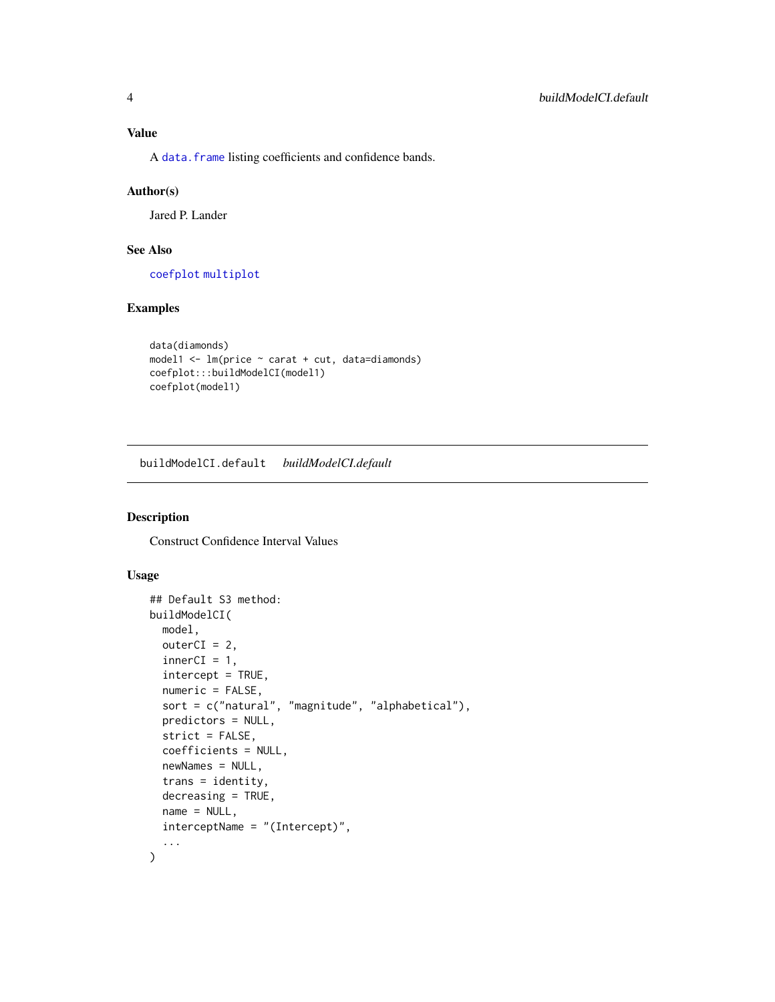<span id="page-3-0"></span>A [data.frame](#page-0-0) listing coefficients and confidence bands.

#### Author(s)

Jared P. Lander

# See Also

[coefplot](#page-11-1) [multiplot](#page-39-1)

# Examples

```
data(diamonds)
model1 <- lm(price ~ carat + cut, data=diamonds)
coefplot:::buildModelCI(model1)
coefplot(model1)
```
buildModelCI.default *buildModelCI.default*

#### Description

Construct Confidence Interval Values

#### Usage

```
## Default S3 method:
buildModelCI(
 model,
 outerCI = 2,
  innerCI = 1,
  intercept = TRUE,
  numeric = FALSE,
  sort = c("natural", "magnitude", "alphabetical"),
  predictors = NULL,
  strict = FALSE,
  coefficients = NULL,
  newNames = NULL,
  trans = identity,decreasing = TRUE,
  name = NULL,interceptName = "(Intercept)",
  ...
\mathcal{L}
```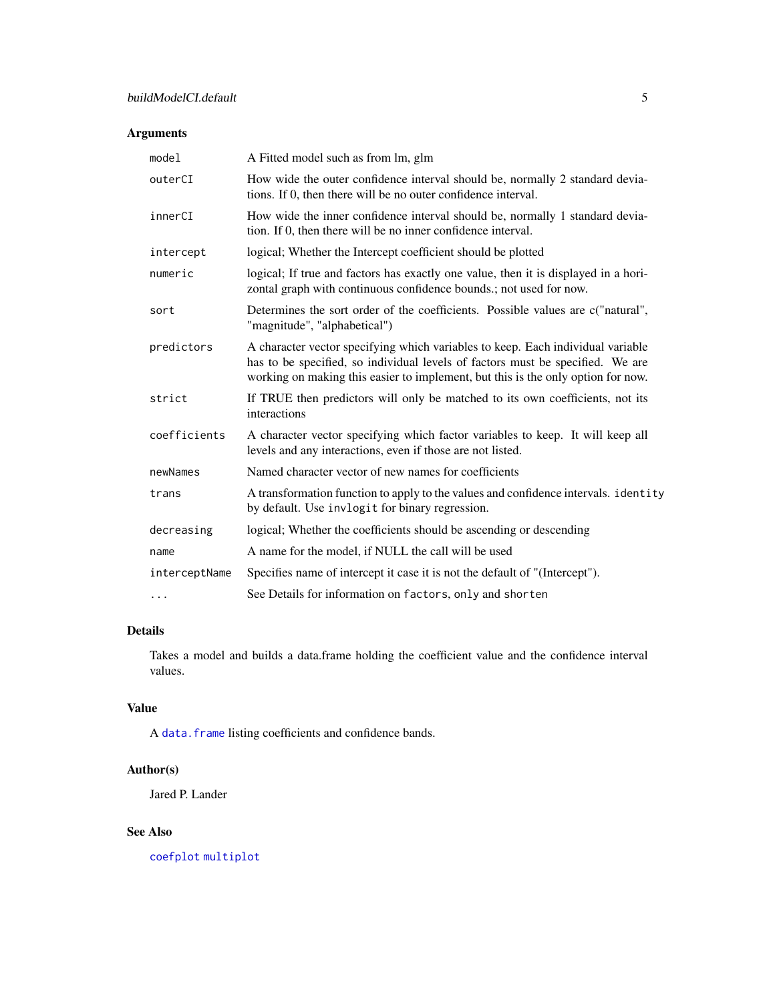# <span id="page-4-0"></span>Arguments

| model         | A Fitted model such as from lm, glm                                                                                                                                                                                                                   |
|---------------|-------------------------------------------------------------------------------------------------------------------------------------------------------------------------------------------------------------------------------------------------------|
| outerCI       | How wide the outer confidence interval should be, normally 2 standard devia-<br>tions. If 0, then there will be no outer confidence interval.                                                                                                         |
| innerCI       | How wide the inner confidence interval should be, normally 1 standard devia-<br>tion. If 0, then there will be no inner confidence interval.                                                                                                          |
| intercept     | logical; Whether the Intercept coefficient should be plotted                                                                                                                                                                                          |
| numeric       | logical; If true and factors has exactly one value, then it is displayed in a hori-<br>zontal graph with continuous confidence bounds.; not used for now.                                                                                             |
| sort          | Determines the sort order of the coefficients. Possible values are c("natural",<br>"magnitude", "alphabetical")                                                                                                                                       |
| predictors    | A character vector specifying which variables to keep. Each individual variable<br>has to be specified, so individual levels of factors must be specified. We are<br>working on making this easier to implement, but this is the only option for now. |
| strict        | If TRUE then predictors will only be matched to its own coefficients, not its<br>interactions                                                                                                                                                         |
| coefficients  | A character vector specifying which factor variables to keep. It will keep all<br>levels and any interactions, even if those are not listed.                                                                                                          |
| newNames      | Named character vector of new names for coefficients                                                                                                                                                                                                  |
| trans         | A transformation function to apply to the values and confidence intervals. identity<br>by default. Use invlogit for binary regression.                                                                                                                |
| decreasing    | logical; Whether the coefficients should be ascending or descending                                                                                                                                                                                   |
| name          | A name for the model, if NULL the call will be used                                                                                                                                                                                                   |
| interceptName | Specifies name of intercept it case it is not the default of "(Intercept").                                                                                                                                                                           |
| $\cdots$      | See Details for information on factors, only and shorten                                                                                                                                                                                              |

# Details

Takes a model and builds a data.frame holding the coefficient value and the confidence interval values.

# Value

A [data.frame](#page-0-0) listing coefficients and confidence bands.

# Author(s)

Jared P. Lander

# See Also

[coefplot](#page-11-1) [multiplot](#page-39-1)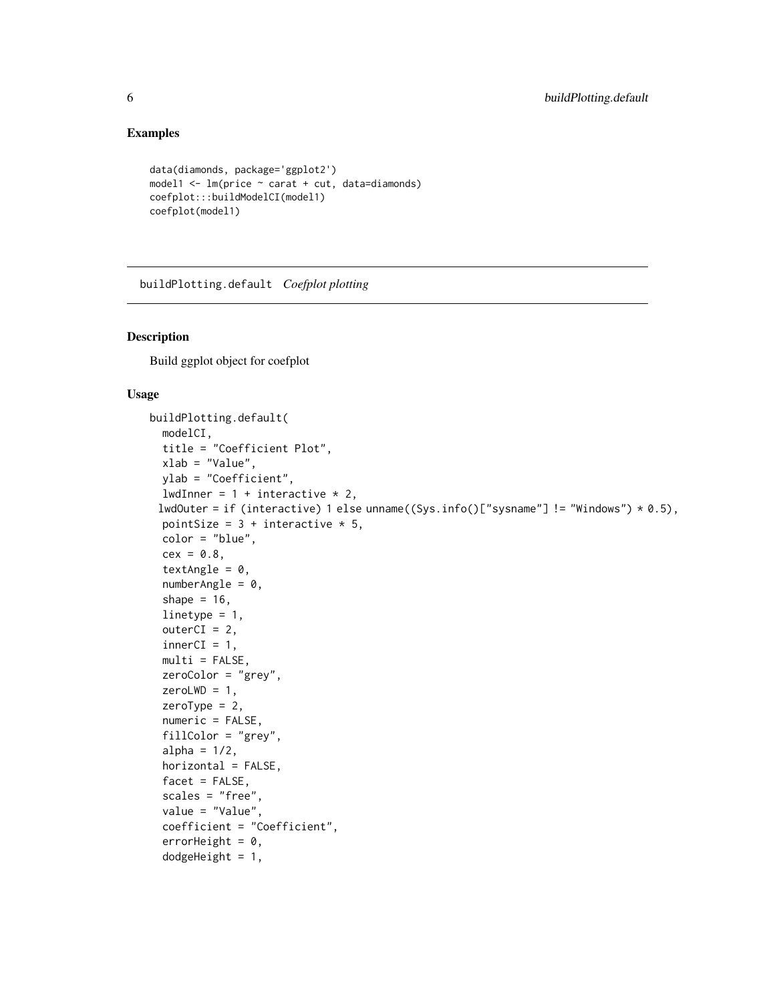# Examples

```
data(diamonds, package='ggplot2')
model1 \leq lm(price \sim carat + cut, data=diamonds)
coefplot:::buildModelCI(model1)
coefplot(model1)
```
<span id="page-5-1"></span>buildPlotting.default *Coefplot plotting*

# Description

Build ggplot object for coefplot

# Usage

```
buildPlotting.default(
 modelCI,
  title = "Coefficient Plot",
  xlab = "Value",
 ylab = "Coefficient",
  lwdInner = 1 + interactive * 2,
 lwdOuter = if (interactive) 1 else unname((Sys.info()["sysname"] != "Windows") * 0.5),
 pointSize = 3 + interactive * 5,
 color = "blue",
  cex = 0.8,
  textAngle = 0,
  numberAngle = 0,
  shape = 16,
  linetype = 1,
  outerCI = 2,
  innerCI = 1,
  multi = FALSE,zeroColor = "grey",
  zeroLWD = 1,
  zeroType = 2,
  numeric = FALSE,
  fillColor = "grey",
  alpha = 1/2,
  horizontal = FALSE,
  facet = FALSE,
  scales = "free",
  value = "Value",
  coefficient = "Coefficient",
  errorHeight = 0,
  dodgeHeight = 1,
```
<span id="page-5-0"></span>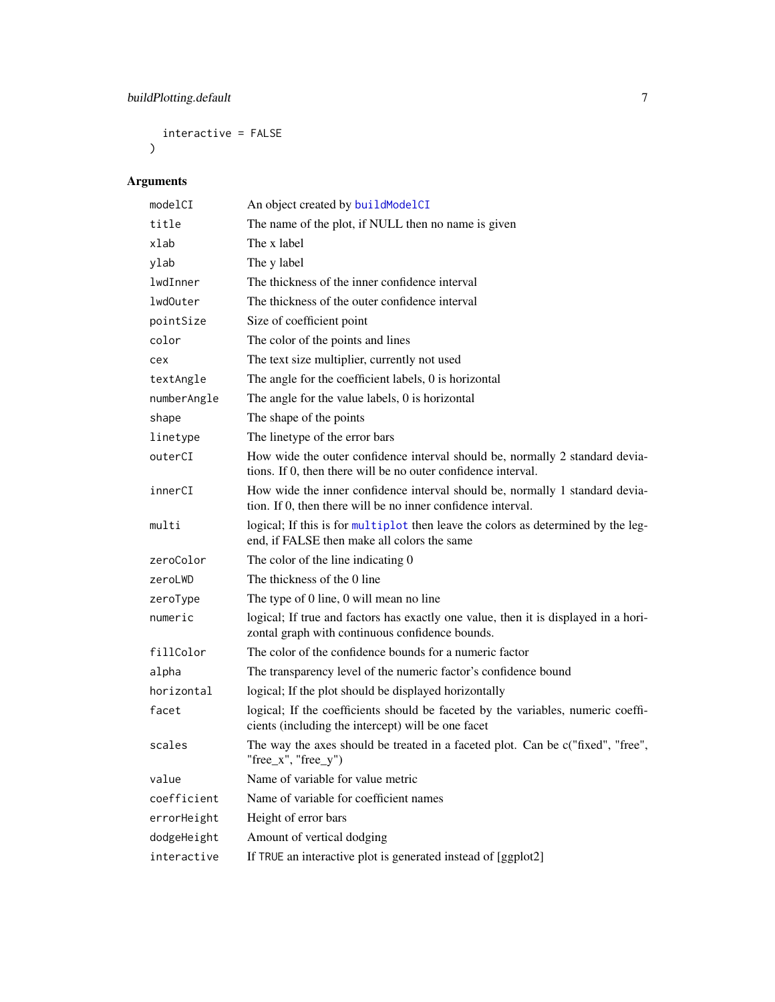<span id="page-6-0"></span>interactive = FALSE  $\mathcal{L}$ 

| modelCI     | An object created by buildModelCI                                                                                                             |
|-------------|-----------------------------------------------------------------------------------------------------------------------------------------------|
| title       | The name of the plot, if NULL then no name is given                                                                                           |
| xlab        | The x label                                                                                                                                   |
| ylab        | The y label                                                                                                                                   |
| lwdInner    | The thickness of the inner confidence interval                                                                                                |
| lwd0uter    | The thickness of the outer confidence interval                                                                                                |
| pointSize   | Size of coefficient point                                                                                                                     |
| color       | The color of the points and lines                                                                                                             |
| cex         | The text size multiplier, currently not used                                                                                                  |
| textAngle   | The angle for the coefficient labels, 0 is horizontal                                                                                         |
| numberAngle | The angle for the value labels, 0 is horizontal                                                                                               |
| shape       | The shape of the points                                                                                                                       |
| linetype    | The linetype of the error bars                                                                                                                |
| outerCI     | How wide the outer confidence interval should be, normally 2 standard devia-<br>tions. If 0, then there will be no outer confidence interval. |
| innerCI     | How wide the inner confidence interval should be, normally 1 standard devia-<br>tion. If 0, then there will be no inner confidence interval.  |
| multi       | logical; If this is for multiplot then leave the colors as determined by the leg-<br>end, if FALSE then make all colors the same              |
| zeroColor   | The color of the line indicating 0                                                                                                            |
| zeroLWD     | The thickness of the 0 line                                                                                                                   |
| zeroType    | The type of 0 line, 0 will mean no line                                                                                                       |
| numeric     | logical; If true and factors has exactly one value, then it is displayed in a hori-<br>zontal graph with continuous confidence bounds.        |
| fillColor   | The color of the confidence bounds for a numeric factor                                                                                       |
| alpha       | The transparency level of the numeric factor's confidence bound                                                                               |
| horizontal  | logical; If the plot should be displayed horizontally                                                                                         |
| facet       | logical; If the coefficients should be faceted by the variables, numeric coeffi-<br>cients (including the intercept) will be one facet        |
| scales      | The way the axes should be treated in a faceted plot. Can be c("fixed", "free",<br>"free_x", "free_y")                                        |
| value       | Name of variable for value metric                                                                                                             |
| coefficient | Name of variable for coefficient names                                                                                                        |
| errorHeight | Height of error bars                                                                                                                          |
| dodgeHeight | Amount of vertical dodging                                                                                                                    |
| interactive | If TRUE an interactive plot is generated instead of [ggplot2]                                                                                 |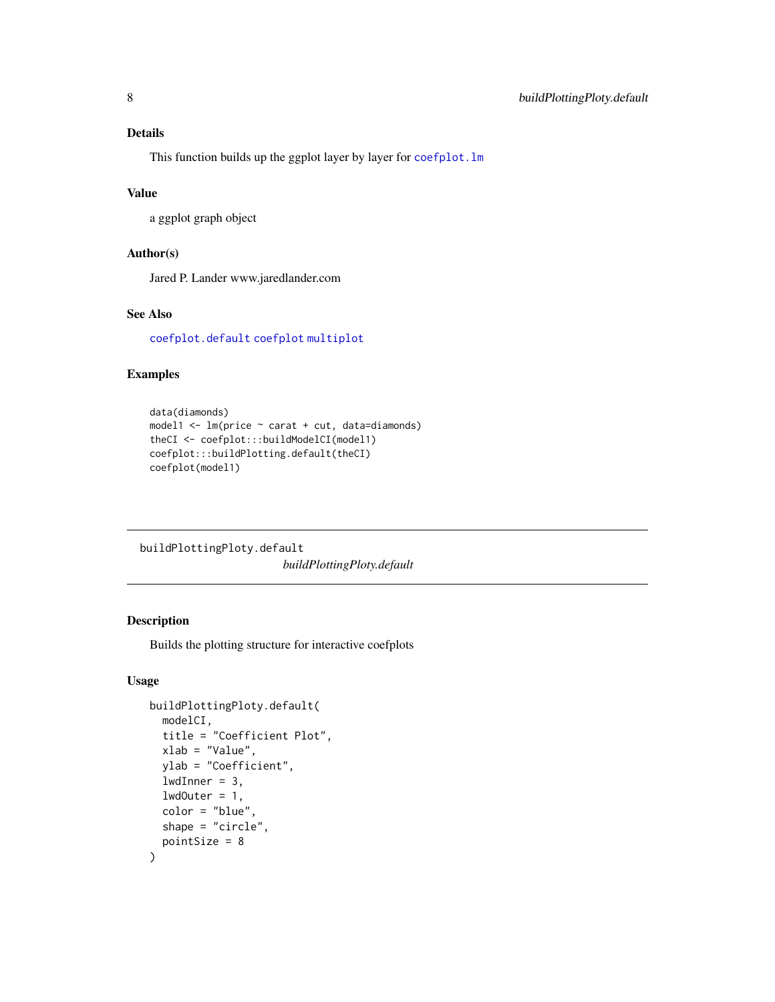# <span id="page-7-0"></span>Details

This function builds up the ggplot layer by layer for [coefplot.lm](#page-11-2)

#### Value

a ggplot graph object

#### Author(s)

Jared P. Lander www.jaredlander.com

# See Also

[coefplot.default](#page-11-2) [coefplot](#page-11-1) [multiplot](#page-39-1)

# Examples

```
data(diamonds)
model1 <- lm(price ~ carat + cut, data=diamonds)
theCI <- coefplot:::buildModelCI(model1)
coefplot:::buildPlotting.default(theCI)
coefplot(model1)
```
buildPlottingPloty.default *buildPlottingPloty.default*

# Description

Builds the plotting structure for interactive coefplots

### Usage

```
buildPlottingPloty.default(
 modelCI,
  title = "Coefficient Plot",
  xlab = "Value",
 ylab = "Coefficient",
  lwdInner = 3,
  1wdOuter = 1,
  color = "blue",
  shape = "circle",
  pointSize = 8
\mathcal{E}
```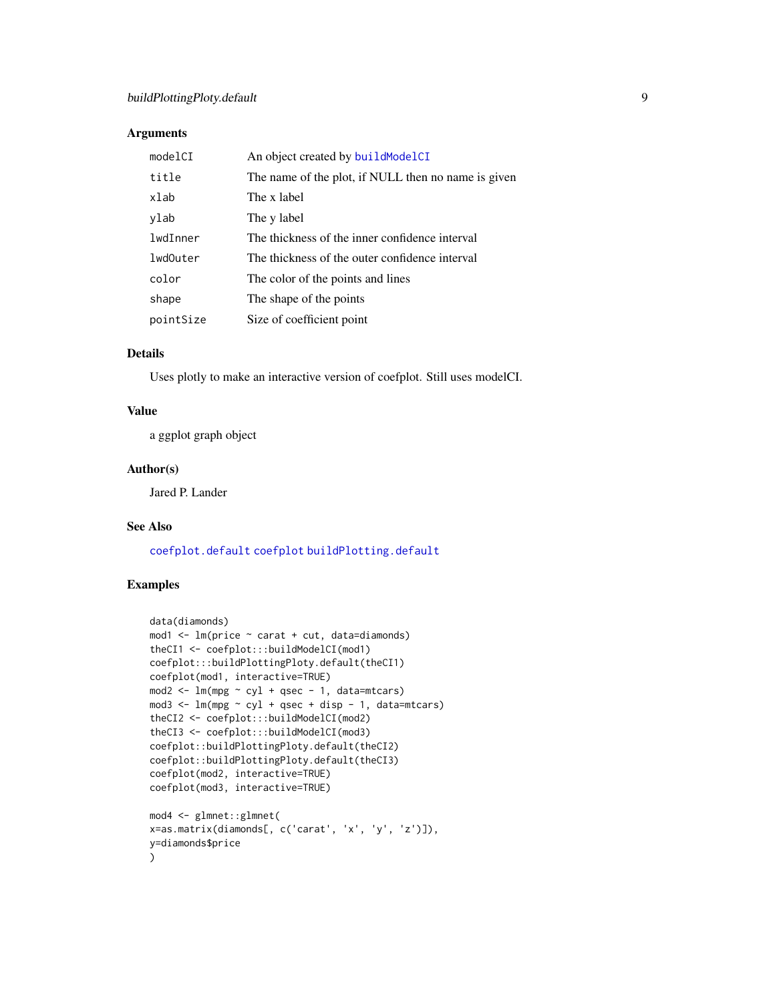### <span id="page-8-0"></span>Arguments

| modelCI   | An object created by buildModelCI                   |
|-----------|-----------------------------------------------------|
| title     | The name of the plot, if NULL then no name is given |
| xlab      | The x label                                         |
| ylab      | The y label                                         |
| lwdInner  | The thickness of the inner confidence interval      |
| lwd0uter  | The thickness of the outer confidence interval      |
| color     | The color of the points and lines                   |
| shape     | The shape of the points                             |
| pointSize | Size of coefficient point                           |

# Details

Uses plotly to make an interactive version of coefplot. Still uses modelCI.

# Value

a ggplot graph object

# Author(s)

Jared P. Lander

# See Also

[coefplot.default](#page-11-2) [coefplot](#page-11-1) [buildPlotting.default](#page-5-1)

# Examples

```
data(diamonds)
mod1 \leq lm(price \sim carat + cut, data=diamonds)
theCI1 <- coefplot:::buildModelCI(mod1)
coefplot:::buildPlottingPloty.default(theCI1)
coefplot(mod1, interactive=TRUE)
mod2 \leq - \ln(mpg \sim cy1 + qsec - 1, data=mtcars)
mod3 \leq lm(mpg \sim cyl + qsec + disp - 1, data=mtcars)
theCI2 <- coefplot:::buildModelCI(mod2)
theCI3 <- coefplot:::buildModelCI(mod3)
coefplot::buildPlottingPloty.default(theCI2)
coefplot::buildPlottingPloty.default(theCI3)
coefplot(mod2, interactive=TRUE)
coefplot(mod3, interactive=TRUE)
mod4 <- glmnet::glmnet(
x=as.matrix(diamonds[, c('carat', 'x', 'y', 'z')]),
y=diamonds$price
\mathcal{L}
```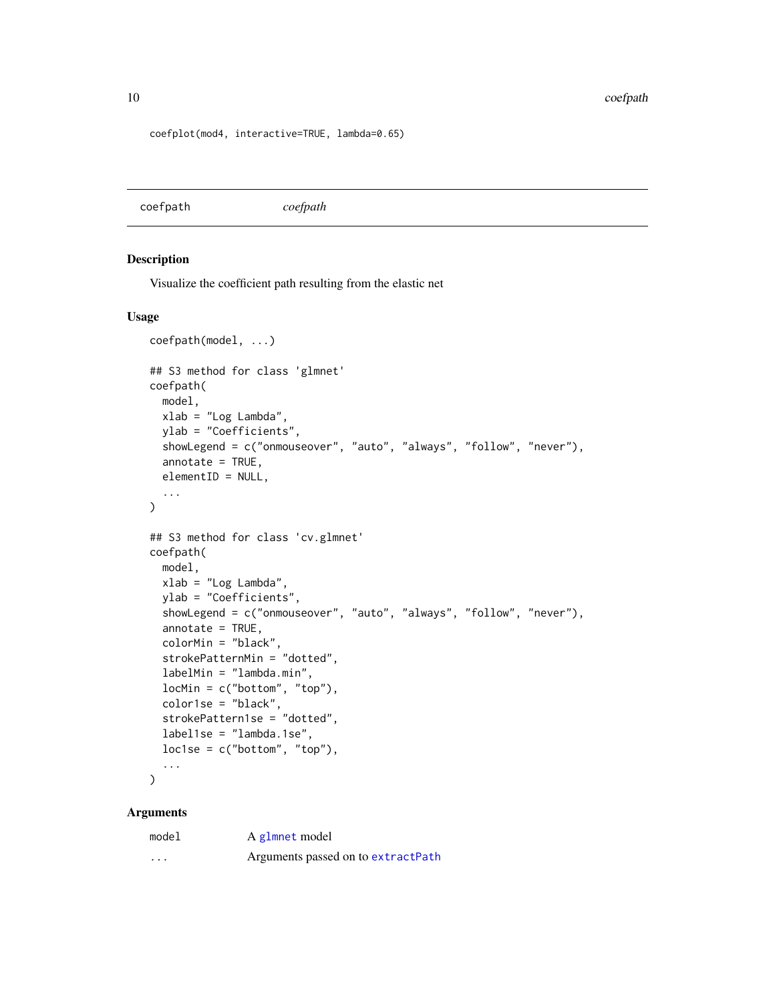<span id="page-9-0"></span>coefplot(mod4, interactive=TRUE, lambda=0.65)

coefpath *coefpath*

#### Description

Visualize the coefficient path resulting from the elastic net

#### Usage

```
coefpath(model, ...)
## S3 method for class 'glmnet'
coefpath(
 model,
 xlab = "Log Lambda",
 ylab = "Coefficients",
  showLegend = c("onmouseover", "auto", "always", "follow", "never"),
  annotate = TRUE,
  elementID = NULL,...
)
## S3 method for class 'cv.glmnet'
coefpath(
 model,
 xlab = "Log Lambda",
 ylab = "Coefficients",
  showLegend = c("onmouseover", "auto", "always", "follow", "never"),
  annotate = TRUE,
  colorMin = "black",
  strokePatternMin = "dotted",
  labelMin = "lambda.min",
  locMin = c("bottom", "top"),
  color1se = "black",
  strokePattern1se = "dotted",
  label1se = "lambda.1se",
  loc1se = c("bottom", "top"),...
```
# $\mathcal{L}$

| model    | A glmnet model                     |
|----------|------------------------------------|
| $\cdots$ | Arguments passed on to extractPath |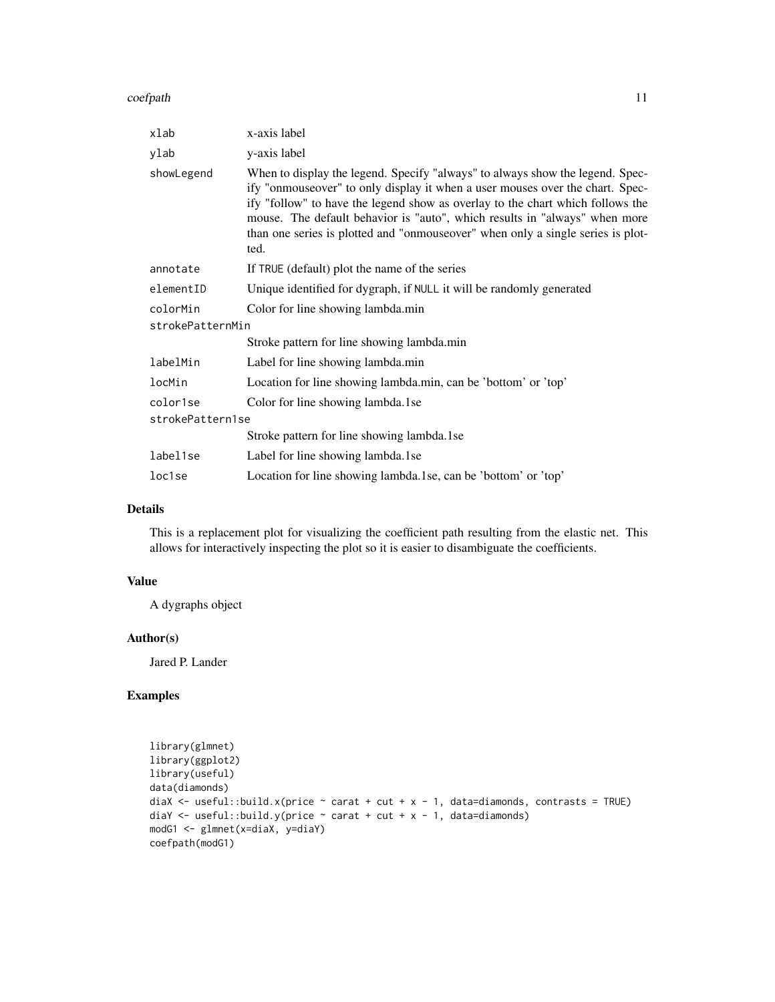coefpath the coefpath of the coefpath of the coefpath of the coefpath of the coefpath of the coefpath of the coefpath of the coefpath of the coefpath of the coefpath of the coefpath of the coefficient of the coefficient of

| xlab                 | x-axis label                                                                                                                                                                                                                                                                                                                                                                                                              |
|----------------------|---------------------------------------------------------------------------------------------------------------------------------------------------------------------------------------------------------------------------------------------------------------------------------------------------------------------------------------------------------------------------------------------------------------------------|
| ylab                 | y-axis label                                                                                                                                                                                                                                                                                                                                                                                                              |
| showLegend           | When to display the legend. Specify "always" to always show the legend. Spec-<br>ify "onmouseover" to only display it when a user mouses over the chart. Spec-<br>ify "follow" to have the legend show as overlay to the chart which follows the<br>mouse. The default behavior is "auto", which results in "always" when more<br>than one series is plotted and "onmouseover" when only a single series is plot-<br>ted. |
| annotate             | If TRUE (default) plot the name of the series                                                                                                                                                                                                                                                                                                                                                                             |
| elementID            | Unique identified for dygraph, if NULL it will be randomly generated                                                                                                                                                                                                                                                                                                                                                      |
| colorMin             | Color for line showing lambda.min                                                                                                                                                                                                                                                                                                                                                                                         |
| strokePatternMin     |                                                                                                                                                                                                                                                                                                                                                                                                                           |
|                      | Stroke pattern for line showing lambda.min                                                                                                                                                                                                                                                                                                                                                                                |
| labelMin             | Label for line showing lambda.min                                                                                                                                                                                                                                                                                                                                                                                         |
| locMin               | Location for line showing lambda.min, can be 'bottom' or 'top'                                                                                                                                                                                                                                                                                                                                                            |
| color <sub>1se</sub> | Color for line showing lambda.1se                                                                                                                                                                                                                                                                                                                                                                                         |
| strokePattern1se     |                                                                                                                                                                                                                                                                                                                                                                                                                           |
|                      | Stroke pattern for line showing lambda.1se                                                                                                                                                                                                                                                                                                                                                                                |
| label1se             | Label for line showing lambda.1se                                                                                                                                                                                                                                                                                                                                                                                         |
| loc1se               | Location for line showing lambda. 1se, can be 'bottom' or 'top'                                                                                                                                                                                                                                                                                                                                                           |

# Details

This is a replacement plot for visualizing the coefficient path resulting from the elastic net. This allows for interactively inspecting the plot so it is easier to disambiguate the coefficients.

#### Value

A dygraphs object

# Author(s)

Jared P. Lander

# Examples

```
library(glmnet)
library(ggplot2)
library(useful)
data(diamonds)
diaX <- useful::build.x(price \sim carat + cut + x - 1, data=diamonds, contrasts = TRUE)
diaY \le useful::build.y(price \sim carat + cut + x - 1, data=diamonds)
modG1 <- glmnet(x=diaX, y=diaY)
coefpath(modG1)
```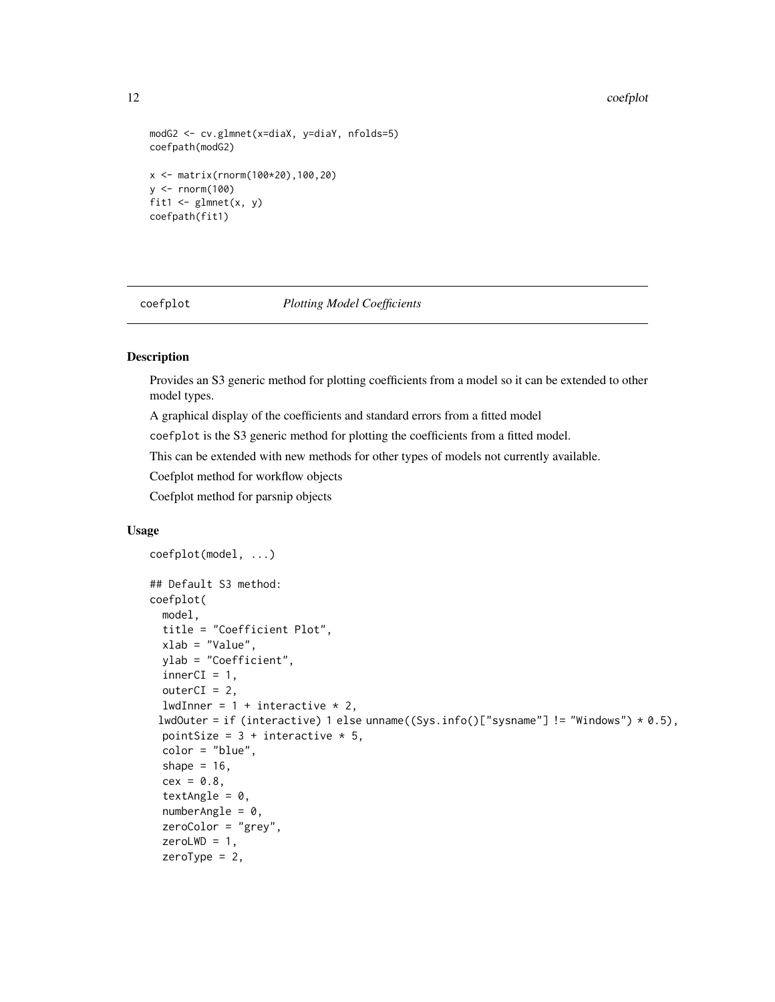#### 12 coefplot

```
modG2 <- cv.glmnet(x=diaX, y=diaY, nfolds=5)
coefpath(modG2)
x <- matrix(rnorm(100*20),100,20)
y <- rnorm(100)
fit1 <- glmnet(x, y)coefpath(fit1)
```
<span id="page-11-1"></span>

#### coefplot *Plotting Model Coefficients*

#### <span id="page-11-2"></span>Description

Provides an S3 generic method for plotting coefficients from a model so it can be extended to other model types.

A graphical display of the coefficients and standard errors from a fitted model

coefplot is the S3 generic method for plotting the coefficients from a fitted model.

This can be extended with new methods for other types of models not currently available.

Coefplot method for workflow objects

Coefplot method for parsnip objects

#### Usage

```
coefplot(model, ...)
## Default S3 method:
coefplot(
 model,
 title = "Coefficient Plot",
 xlab = "Value",
 ylab = "Coefficient",
  innerCI = 1,
  outerCI = 2,
 lwdInner = 1 + interactive * 2,
 lwdOuter = if (interactive) 1 else unname((Sys.info()["sysname"] != "Windows") * 0.5),
 pointSize = 3 + interactive * 5,
  color = "blue",
  shape = 16,
  cex = 0.8,
  textAngle = 0,
  numberAngle = 0,
  zeroColor = "grey",
  zeroLWD = 1,zeroType = 2,
```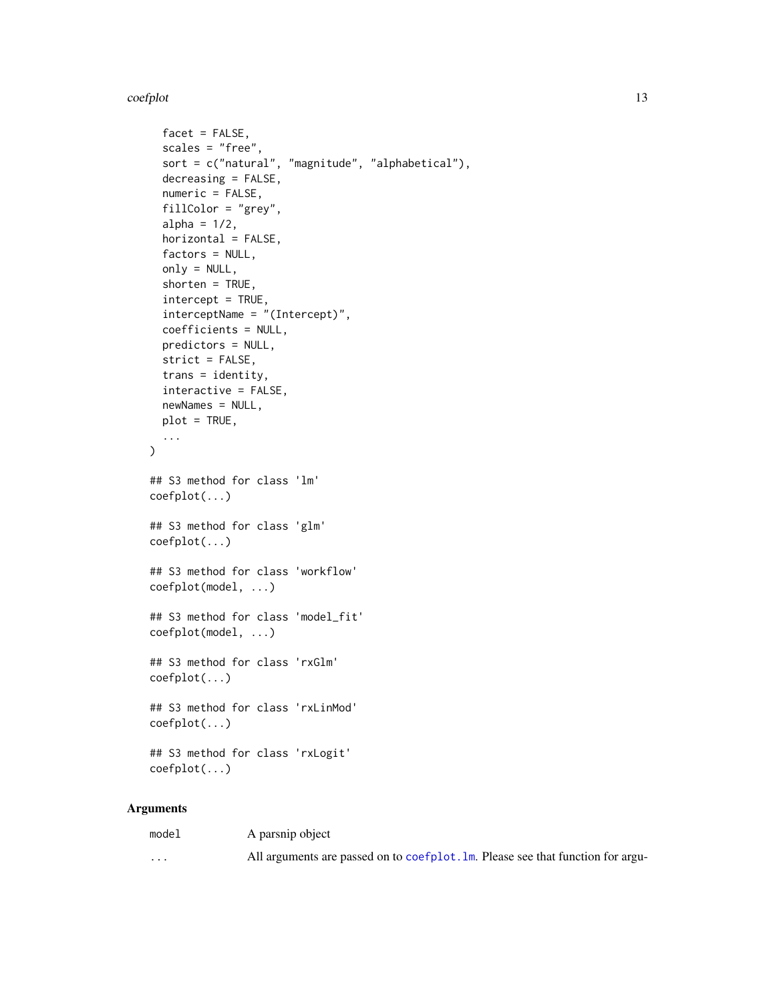<span id="page-12-0"></span>coefplot that the coefplot that the coefplot that the coefplot that the coefplot that the coefplot that the coefplot that the coefplot that the coefplot that the coefplot that the coefplot that the coefplot that the coefpl

```
facet = FALSE,scales = "free",
  sort = c("natural", "magnitude", "alphabetical"),
  decreasing = FALSE,
  numeric = FALSE,
  fillColor = "grey",
  alpha = 1/2,
  horizontal = FALSE,
  factors = NULL,
  only = NULL,
  shorten = TRUE,
  intercept = TRUE,
  interceptName = "(Intercept)",
  coefficients = NULL,
 predictors = NULL,
  strict = FALSE,
  trans = identity,
  interactive = FALSE,
 newNames = NULL,
 plot = TRUE,
  ...
\mathcal{L}## S3 method for class 'lm'
coefplot(...)
## S3 method for class 'glm'
coefplot(...)
## S3 method for class 'workflow'
coefplot(model, ...)
## S3 method for class 'model_fit'
coefplot(model, ...)
## S3 method for class 'rxGlm'
coefplot(...)
## S3 method for class 'rxLinMod'
coefplot(...)
## S3 method for class 'rxLogit'
coefplot(...)
```

| model                   | A parsnip object                                                                |
|-------------------------|---------------------------------------------------------------------------------|
| $\cdot$ $\cdot$ $\cdot$ | All arguments are passed on to coefplot. Im. Please see that function for argu- |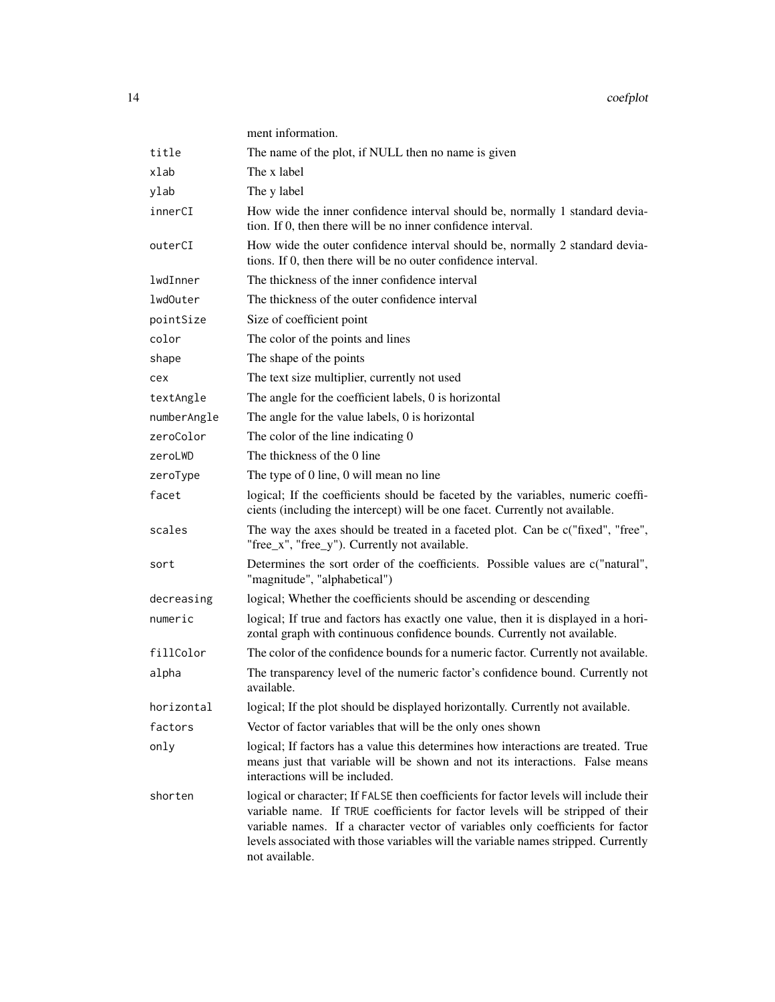|             | ment information.                                                                                                                                                                                                                                                                                                                                                   |
|-------------|---------------------------------------------------------------------------------------------------------------------------------------------------------------------------------------------------------------------------------------------------------------------------------------------------------------------------------------------------------------------|
| title       | The name of the plot, if NULL then no name is given                                                                                                                                                                                                                                                                                                                 |
| xlab        | The x label                                                                                                                                                                                                                                                                                                                                                         |
| ylab        | The y label                                                                                                                                                                                                                                                                                                                                                         |
| innerCI     | How wide the inner confidence interval should be, normally 1 standard devia-<br>tion. If 0, then there will be no inner confidence interval.                                                                                                                                                                                                                        |
| outerCI     | How wide the outer confidence interval should be, normally 2 standard devia-<br>tions. If 0, then there will be no outer confidence interval.                                                                                                                                                                                                                       |
| lwdInner    | The thickness of the inner confidence interval                                                                                                                                                                                                                                                                                                                      |
| lwdOuter    | The thickness of the outer confidence interval                                                                                                                                                                                                                                                                                                                      |
| pointSize   | Size of coefficient point                                                                                                                                                                                                                                                                                                                                           |
| color       | The color of the points and lines                                                                                                                                                                                                                                                                                                                                   |
| shape       | The shape of the points                                                                                                                                                                                                                                                                                                                                             |
| cex         | The text size multiplier, currently not used                                                                                                                                                                                                                                                                                                                        |
| textAngle   | The angle for the coefficient labels, 0 is horizontal                                                                                                                                                                                                                                                                                                               |
| numberAngle | The angle for the value labels, 0 is horizontal                                                                                                                                                                                                                                                                                                                     |
| zeroColor   | The color of the line indicating 0                                                                                                                                                                                                                                                                                                                                  |
| zeroLWD     | The thickness of the 0 line                                                                                                                                                                                                                                                                                                                                         |
| zeroType    | The type of 0 line, 0 will mean no line                                                                                                                                                                                                                                                                                                                             |
| facet       | logical; If the coefficients should be faceted by the variables, numeric coeffi-<br>cients (including the intercept) will be one facet. Currently not available.                                                                                                                                                                                                    |
| scales      | The way the axes should be treated in a faceted plot. Can be c("fixed", "free",<br>"free_x", "free_y"). Currently not available.                                                                                                                                                                                                                                    |
| sort        | Determines the sort order of the coefficients. Possible values are c("natural",<br>"magnitude", "alphabetical")                                                                                                                                                                                                                                                     |
| decreasing  | logical; Whether the coefficients should be ascending or descending                                                                                                                                                                                                                                                                                                 |
| numeric     | logical; If true and factors has exactly one value, then it is displayed in a hori-<br>zontal graph with continuous confidence bounds. Currently not available.                                                                                                                                                                                                     |
| fillColor   | The color of the confidence bounds for a numeric factor. Currently not available.                                                                                                                                                                                                                                                                                   |
| alpha       | The transparency level of the numeric factor's confidence bound. Currently not<br>available.                                                                                                                                                                                                                                                                        |
| horizontal  | logical; If the plot should be displayed horizontally. Currently not available.                                                                                                                                                                                                                                                                                     |
| factors     | Vector of factor variables that will be the only ones shown                                                                                                                                                                                                                                                                                                         |
| only        | logical; If factors has a value this determines how interactions are treated. True<br>means just that variable will be shown and not its interactions. False means<br>interactions will be included.                                                                                                                                                                |
| shorten     | logical or character; If FALSE then coefficients for factor levels will include their<br>variable name. If TRUE coefficients for factor levels will be stripped of their<br>variable names. If a character vector of variables only coefficients for factor<br>levels associated with those variables will the variable names stripped. Currently<br>not available. |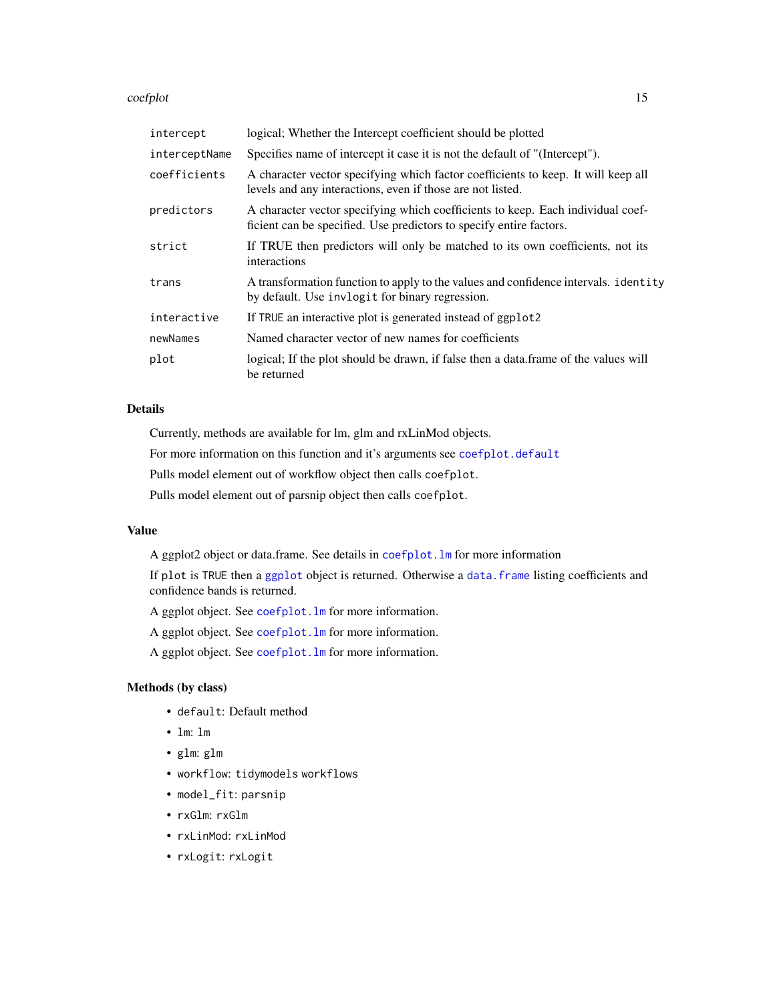#### <span id="page-14-0"></span>coefplot that the coefplot that the coefplot that the coefplot that the coefplot that the coefplot that the coefplot that the coefplot that the coefplot that the coefplot that the coefplot that the coefplot that the coefpl

| intercept     | logical; Whether the Intercept coefficient should be plotted                                                                                           |
|---------------|--------------------------------------------------------------------------------------------------------------------------------------------------------|
| interceptName | Specifies name of intercept it case it is not the default of "(Intercept").                                                                            |
| coefficients  | A character vector specifying which factor coefficients to keep. It will keep all<br>levels and any interactions, even if those are not listed.        |
| predictors    | A character vector specifying which coefficients to keep. Each individual coef-<br>ficient can be specified. Use predictors to specify entire factors. |
| strict        | If TRUE then predictors will only be matched to its own coefficients, not its<br>interactions                                                          |
| trans         | A transformation function to apply to the values and confidence intervals. identity<br>by default. Use invlogit for binary regression.                 |
| interactive   | If TRUE an interactive plot is generated instead of ggplot2                                                                                            |
| newNames      | Named character vector of new names for coefficients                                                                                                   |
| plot          | logical; If the plot should be drawn, if false then a data.frame of the values will<br>be returned                                                     |

#### Details

Currently, methods are available for lm, glm and rxLinMod objects.

For more information on this function and it's arguments see [coefplot.default](#page-11-2)

Pulls model element out of workflow object then calls coefplot.

Pulls model element out of parsnip object then calls coefplot.

# Value

A ggplot2 object or data.frame. See details in [coefplot.lm](#page-11-2) for more information

If plot is TRUE then a [ggplot](#page-0-0) object is returned. Otherwise a [data.frame](#page-0-0) listing coefficients and confidence bands is returned.

A ggplot object. See [coefplot.lm](#page-11-2) for more information.

A ggplot object. See [coefplot.lm](#page-11-2) for more information.

A ggplot object. See [coefplot.lm](#page-11-2) for more information.

# Methods (by class)

- default: Default method
- lm: lm
- glm: glm
- workflow: tidymodels workflows
- model\_fit: parsnip
- rxGlm: rxGlm
- rxLinMod: rxLinMod
- rxLogit: rxLogit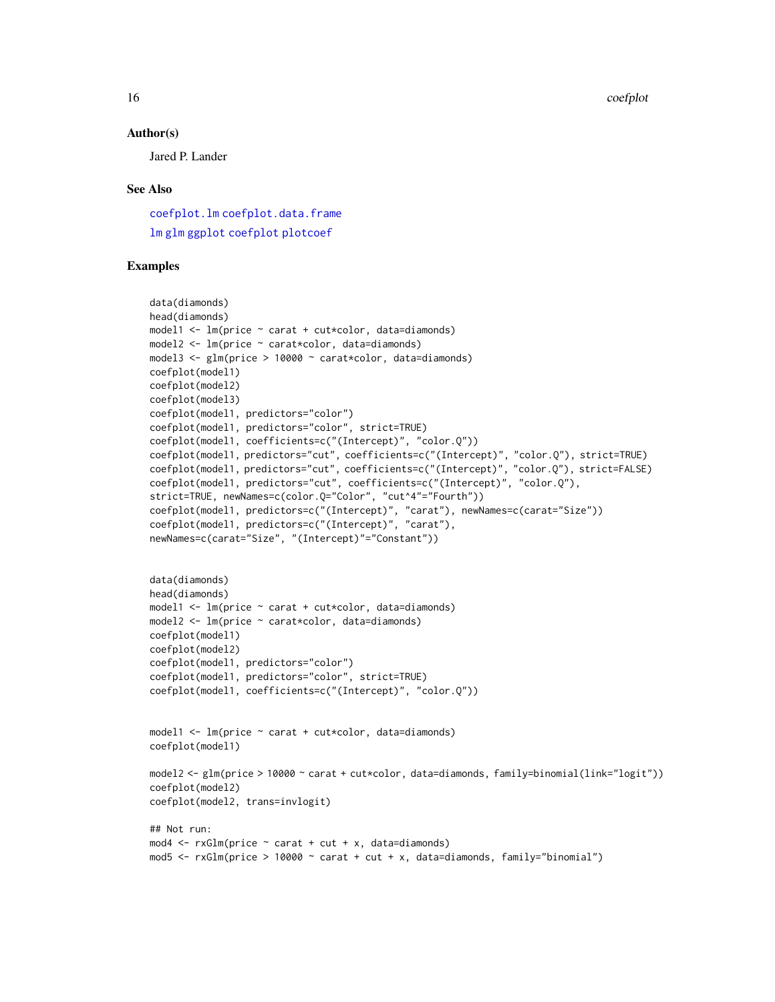16 coefplot

#### Author(s)

Jared P. Lander

#### See Also

[coefplot.lm](#page-11-2) [coefplot.data.frame](#page-16-1) [lm](#page-0-0) [glm](#page-0-0) [ggplot](#page-0-0) [coefplot](#page-11-1) [plotcoef](#page-11-2)

## Examples

```
data(diamonds)
head(diamonds)
model1 <- lm(price ~ carat + cut*color, data=diamonds)
model2 <- lm(price ~ carat*color, data=diamonds)
model3 <- glm(price > 10000 ~ carat*color, data=diamonds)
coefplot(model1)
coefplot(model2)
coefplot(model3)
coefplot(model1, predictors="color")
coefplot(model1, predictors="color", strict=TRUE)
coefplot(model1, coefficients=c("(Intercept)", "color.Q"))
coefplot(model1, predictors="cut", coefficients=c("(Intercept)", "color.Q"), strict=TRUE)
coefplot(model1, predictors="cut", coefficients=c("(Intercept)", "color.Q"), strict=FALSE)
coefplot(model1, predictors="cut", coefficients=c("(Intercept)", "color.Q"),
strict=TRUE, newNames=c(color.Q="Color", "cut^4"="Fourth"))
coefplot(model1, predictors=c("(Intercept)", "carat"), newNames=c(carat="Size"))
coefplot(model1, predictors=c("(Intercept)", "carat"),
newNames=c(carat="Size", "(Intercept)"="Constant"))
data(diamonds)
head(diamonds)
model1 <- lm(price ~ carat + cut*color, data=diamonds)
model2 <- lm(price ~ carat*color, data=diamonds)
coefplot(model1)
coefplot(model2)
coefplot(model1, predictors="color")
coefplot(model1, predictors="color", strict=TRUE)
coefplot(model1, coefficients=c("(Intercept)", "color.Q"))
model1 <- lm(price ~ carat + cut*color, data=diamonds)
coefplot(model1)
model2 <- glm(price > 10000 ~ carat + cut*color, data=diamonds, family=binomial(link="logit"))
coefplot(model2)
coefplot(model2, trans=invlogit)
## Not run:
mod4 \leq rxGlm(price \sim carat + cut + x, data=diamonds)
mod5 <- rxGlm(price > 10000 ~ carat + cut + x, data=diamonds, family="binomial")
```
<span id="page-15-0"></span>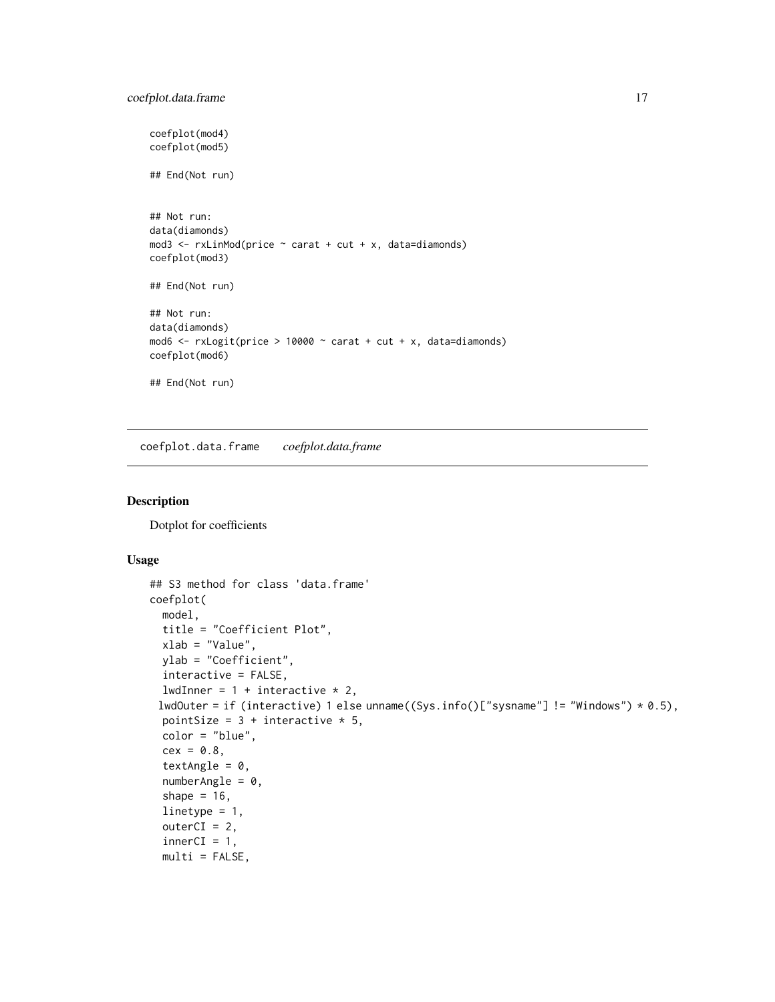```
coefplot(mod4)
coefplot(mod5)
## End(Not run)
## Not run:
data(diamonds)
mod3 <- rxLinMod(price ~ carat + cut + x, data=diamonds)
coefplot(mod3)
## End(Not run)
## Not run:
data(diamonds)
mod6 \le rxLogit(price > 10000 \sim carat + cut + x, data=diamonds)
coefplot(mod6)
## End(Not run)
```
<span id="page-16-1"></span>coefplot.data.frame *coefplot.data.frame*

# Description

Dotplot for coefficients

#### Usage

```
## S3 method for class 'data.frame'
coefplot(
 model,
  title = "Coefficient Plot",
 xlab = "Value",
 ylab = "Coefficient",
  interactive = FALSE,
  lwdInner = 1 + interactive * 2,
 lwdOuter = if (interactive) 1 else unname((Sys.info()["sysname"] != "Windows") * 0.5),
  pointSize = 3 + interactive * 5,
  color = "blue",
  cex = 0.8,
  textAngle = 0,
  numberAngle = 0,
  shape = 16,
  linetype = 1,
  outerCI = 2,
  innerCI = 1,
  multi = FALSE,
```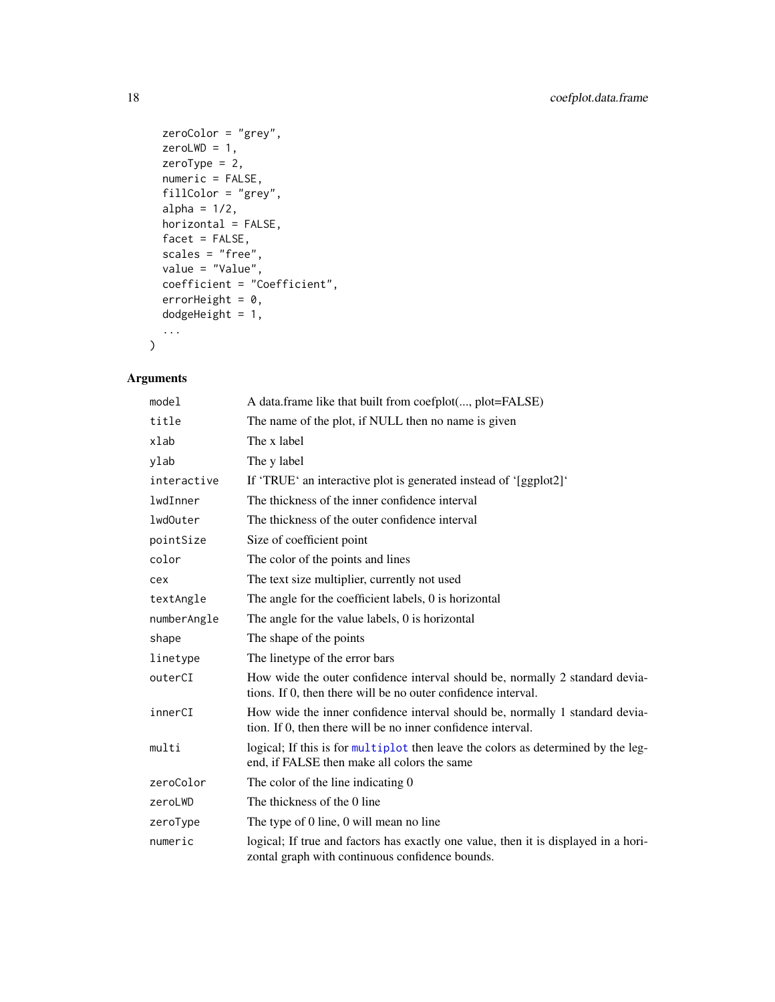```
zeroColor = "grey",
 zeroLWD = 1,
 zeroType = 2,
 numeric = FALSE,
 fillColor = "grey",
 alpha = 1/2,
 horizontal = FALSE,
 facet = FALSE,scales = "free",
 value = "Value",
 coefficient = "Coefficient",
 errorHeight = 0,dodgeHeight = 1,
  ...
\mathcal{L}
```

| model       | A data frame like that built from coefplot(, plot=FALSE)                                                                                      |
|-------------|-----------------------------------------------------------------------------------------------------------------------------------------------|
| title       | The name of the plot, if NULL then no name is given                                                                                           |
| xlab        | The x label                                                                                                                                   |
| ylab        | The y label                                                                                                                                   |
| interactive | If 'TRUE' an interactive plot is generated instead of '[ggplot2]'                                                                             |
| lwdInner    | The thickness of the inner confidence interval                                                                                                |
| lwd0uter    | The thickness of the outer confidence interval                                                                                                |
| pointSize   | Size of coefficient point                                                                                                                     |
| color       | The color of the points and lines                                                                                                             |
| cex         | The text size multiplier, currently not used                                                                                                  |
| textAngle   | The angle for the coefficient labels, 0 is horizontal                                                                                         |
| numberAngle | The angle for the value labels, 0 is horizontal                                                                                               |
| shape       | The shape of the points                                                                                                                       |
| linetype    | The linetype of the error bars                                                                                                                |
| outerCI     | How wide the outer confidence interval should be, normally 2 standard devia-<br>tions. If 0, then there will be no outer confidence interval. |
| innerCI     | How wide the inner confidence interval should be, normally 1 standard devia-<br>tion. If 0, then there will be no inner confidence interval.  |
| multi       | logical; If this is for multiplot then leave the colors as determined by the leg-<br>end, if FALSE then make all colors the same              |
| zeroColor   | The color of the line indicating 0                                                                                                            |
| zeroLWD     | The thickness of the 0 line                                                                                                                   |
| zeroType    | The type of 0 line, 0 will mean no line                                                                                                       |
| numeric     | logical; If true and factors has exactly one value, then it is displayed in a hori-<br>zontal graph with continuous confidence bounds.        |

<span id="page-17-0"></span>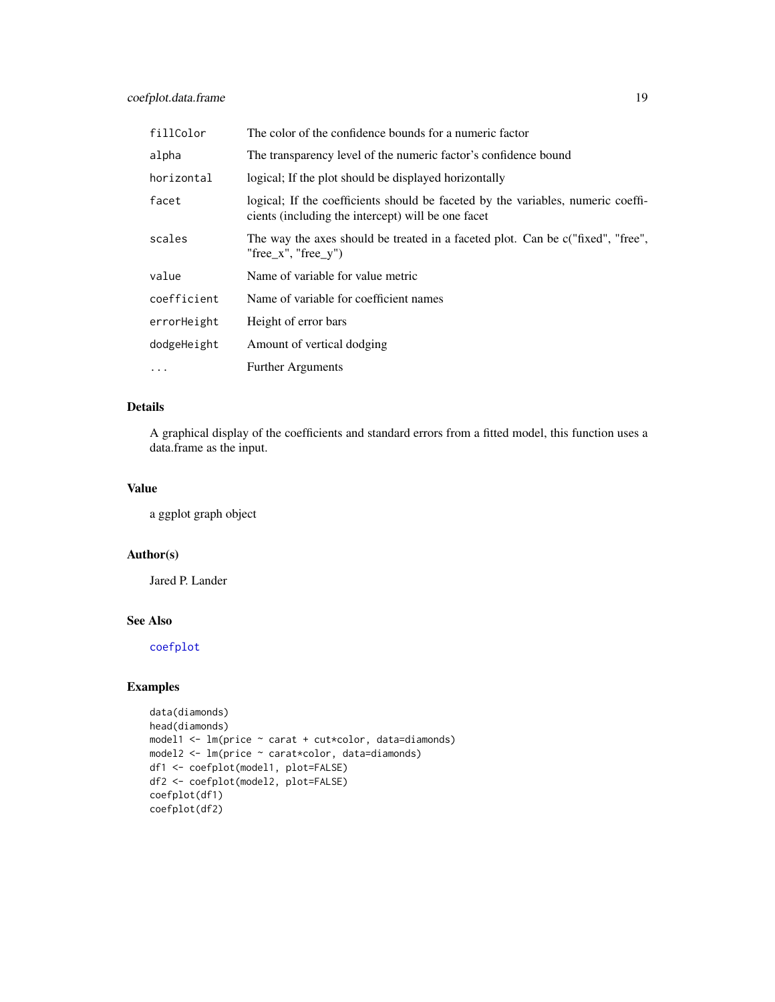<span id="page-18-0"></span>

| fillColor   | The color of the confidence bounds for a numeric factor                                                                                |
|-------------|----------------------------------------------------------------------------------------------------------------------------------------|
| alpha       | The transparency level of the numeric factor's confidence bound                                                                        |
| horizontal  | logical; If the plot should be displayed horizontally                                                                                  |
| facet       | logical; If the coefficients should be faceted by the variables, numeric coeffi-<br>cients (including the intercept) will be one facet |
| scales      | The way the axes should be treated in a faceted plot. Can be c("fixed", "free",<br>"free $x$ ", "free $y$ ")                           |
| value       | Name of variable for value metric                                                                                                      |
| coefficient | Name of variable for coefficient names                                                                                                 |
| errorHeight | Height of error bars                                                                                                                   |
| dodgeHeight | Amount of vertical dodging                                                                                                             |
| $\cdots$    | <b>Further Arguments</b>                                                                                                               |

# Details

A graphical display of the coefficients and standard errors from a fitted model, this function uses a data.frame as the input.

# Value

a ggplot graph object

#### Author(s)

Jared P. Lander

# See Also

[coefplot](#page-11-1)

# Examples

```
data(diamonds)
head(diamonds)
model1 <- lm(price ~ carat + cut*color, data=diamonds)
model2 <- lm(price ~ carat*color, data=diamonds)
df1 <- coefplot(model1, plot=FALSE)
df2 <- coefplot(model2, plot=FALSE)
coefplot(df1)
coefplot(df2)
```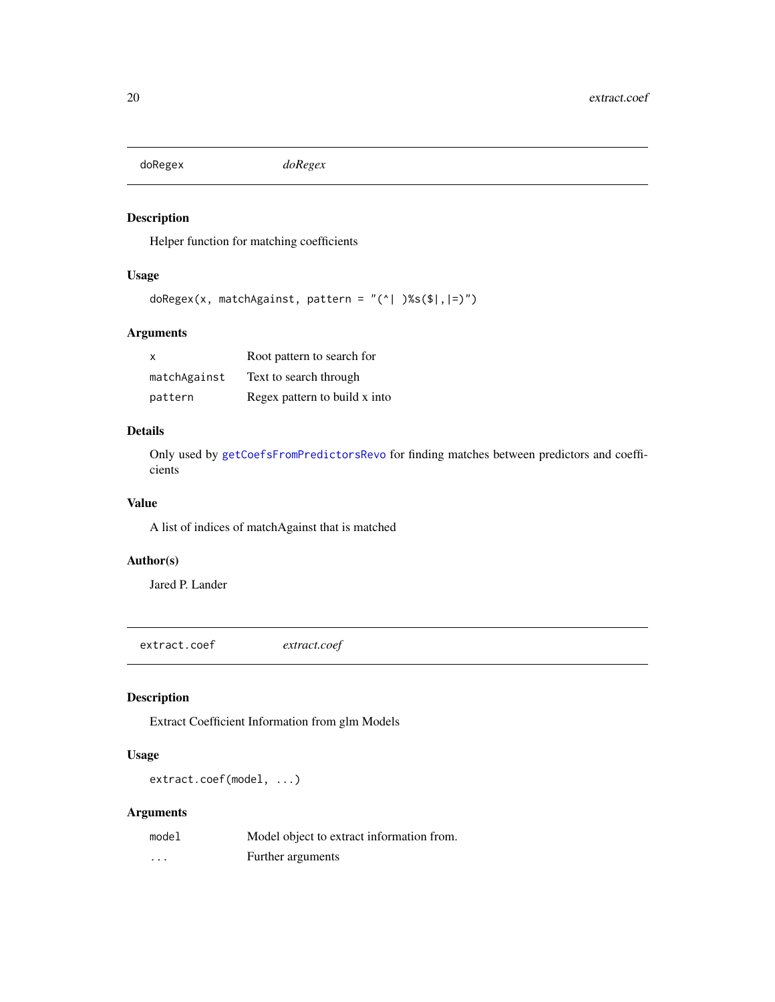<span id="page-19-0"></span>doRegex *doRegex*

# Description

Helper function for matching coefficients

# Usage

```
doRegex(x, matchAgainst, pattern = "(^| )%s($|,|=)")
```
# Arguments

| x            | Root pattern to search for    |
|--------------|-------------------------------|
| matchAgainst | Text to search through        |
| pattern      | Regex pattern to build x into |

# Details

Only used by [getCoefsFromPredictorsRevo](#page-36-1) for finding matches between predictors and coefficients

# Value

A list of indices of matchAgainst that is matched

# Author(s)

Jared P. Lander

extract.coef *extract.coef*

# Description

Extract Coefficient Information from glm Models

# Usage

extract.coef(model, ...)

| model    | Model object to extract information from. |
|----------|-------------------------------------------|
| $\cdots$ | Further arguments                         |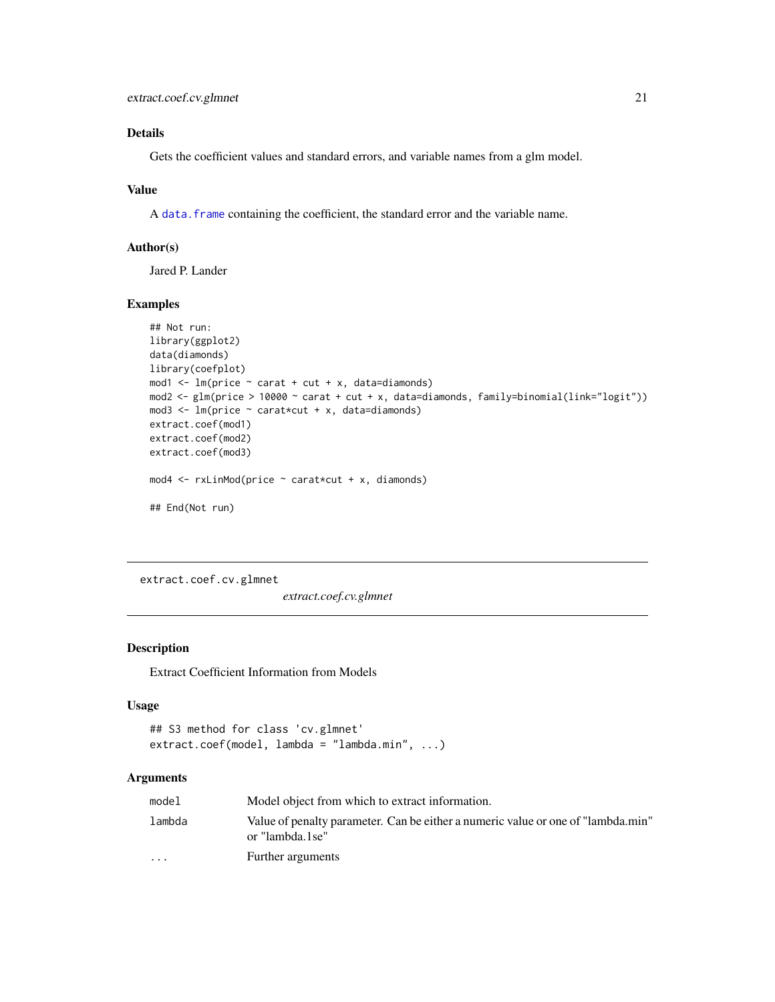# <span id="page-20-0"></span>Details

Gets the coefficient values and standard errors, and variable names from a glm model.

#### Value

A data. frame containing the coefficient, the standard error and the variable name.

#### Author(s)

Jared P. Lander

#### Examples

```
## Not run:
library(ggplot2)
data(diamonds)
library(coefplot)
mod1 <- lm(price ~ carat + cut + x, data=diamond)mod2 <- glm(price > 10000 ~ carat + cut + x, data=diamonds, family=binomial(link="logit"))
mod3 \leq 1m(price \sim carat*cut + x, data=diamonds)
extract.coef(mod1)
extract.coef(mod2)
extract.coef(mod3)
mod4 \le rxLinMod(price \sim carat*cut + x, diamonds)
## End(Not run)
```
extract.coef.cv.glmnet

*extract.coef.cv.glmnet*

# Description

Extract Coefficient Information from Models

# Usage

```
## S3 method for class 'cv.glmnet'
extract.coef(model, lambda = "lambda.min", ...)
```

| model                   | Model object from which to extract information.                                                     |
|-------------------------|-----------------------------------------------------------------------------------------------------|
| lambda                  | Value of penalty parameter. Can be either a numeric value or one of "lambda.min"<br>or "lambda.1se" |
| $\cdot$ $\cdot$ $\cdot$ | Further arguments                                                                                   |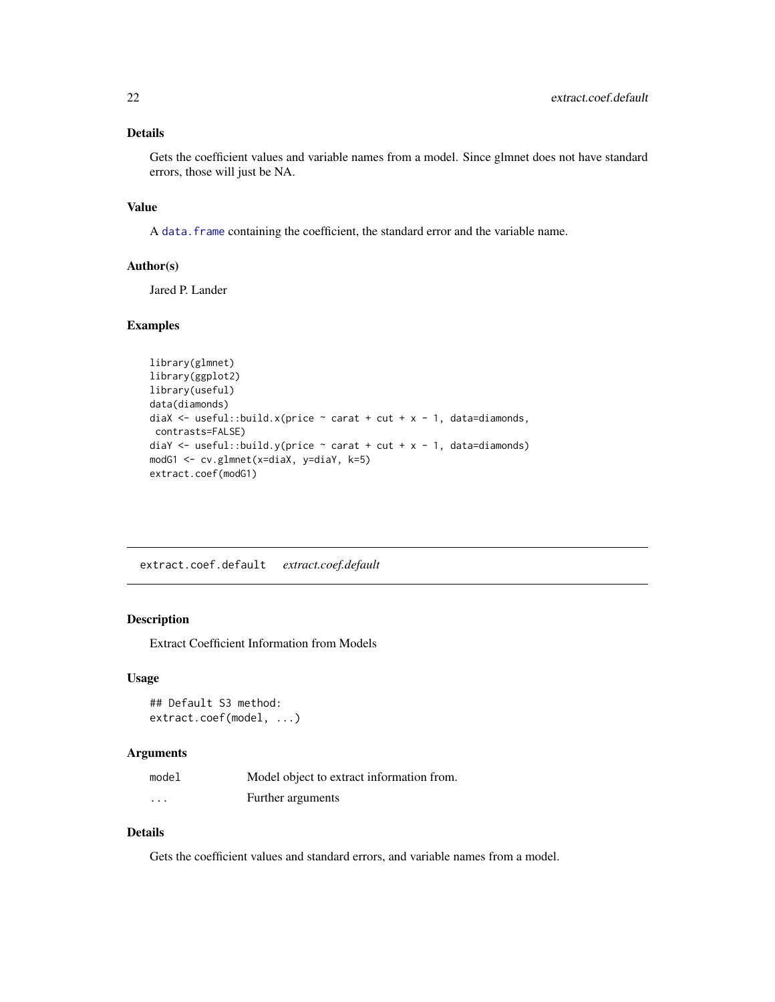# <span id="page-21-0"></span>Details

Gets the coefficient values and variable names from a model. Since glmnet does not have standard errors, those will just be NA.

#### Value

A data. frame containing the coefficient, the standard error and the variable name.

#### Author(s)

Jared P. Lander

#### Examples

```
library(glmnet)
library(ggplot2)
library(useful)
data(diamonds)
diaX \le useful::build.x(price \sim carat + cut + x - 1, data=diamonds,
contrasts=FALSE)
diaY <- useful::build.y(price \sim carat + cut + x - 1, data=diamonds)
modG1 <- cv.glmnet(x=diaX, y=diaY, k=5)
extract.coef(modG1)
```
extract.coef.default *extract.coef.default*

# Description

Extract Coefficient Information from Models

#### Usage

```
## Default S3 method:
extract.coef(model, ...)
```
#### Arguments

| model    | Model object to extract information from. |
|----------|-------------------------------------------|
| $\cdots$ | Further arguments                         |

#### Details

Gets the coefficient values and standard errors, and variable names from a model.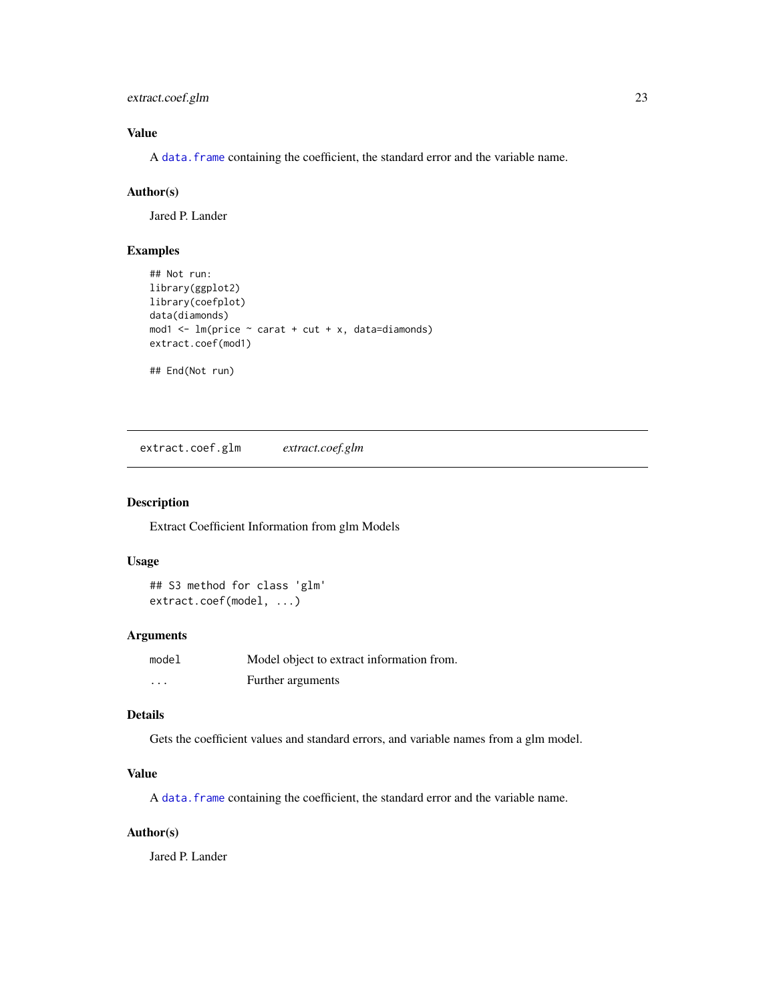<span id="page-22-0"></span>extract.coef.glm 23

# Value

A data. frame containing the coefficient, the standard error and the variable name.

# Author(s)

Jared P. Lander

# Examples

```
## Not run:
library(ggplot2)
library(coefplot)
data(diamonds)
mod1 \leq lm(price \sim carat + cut + x, data=diamonds)
extract.coef(mod1)
## End(Not run)
```
extract.coef.glm *extract.coef.glm*

#### Description

Extract Coefficient Information from glm Models

#### Usage

```
## S3 method for class 'glm'
extract.coef(model, ...)
```
# Arguments

| model    | Model object to extract information from. |
|----------|-------------------------------------------|
| $\cdots$ | Further arguments                         |

#### Details

Gets the coefficient values and standard errors, and variable names from a glm model.

# Value

A [data.frame](#page-0-0) containing the coefficient, the standard error and the variable name.

# Author(s)

Jared P. Lander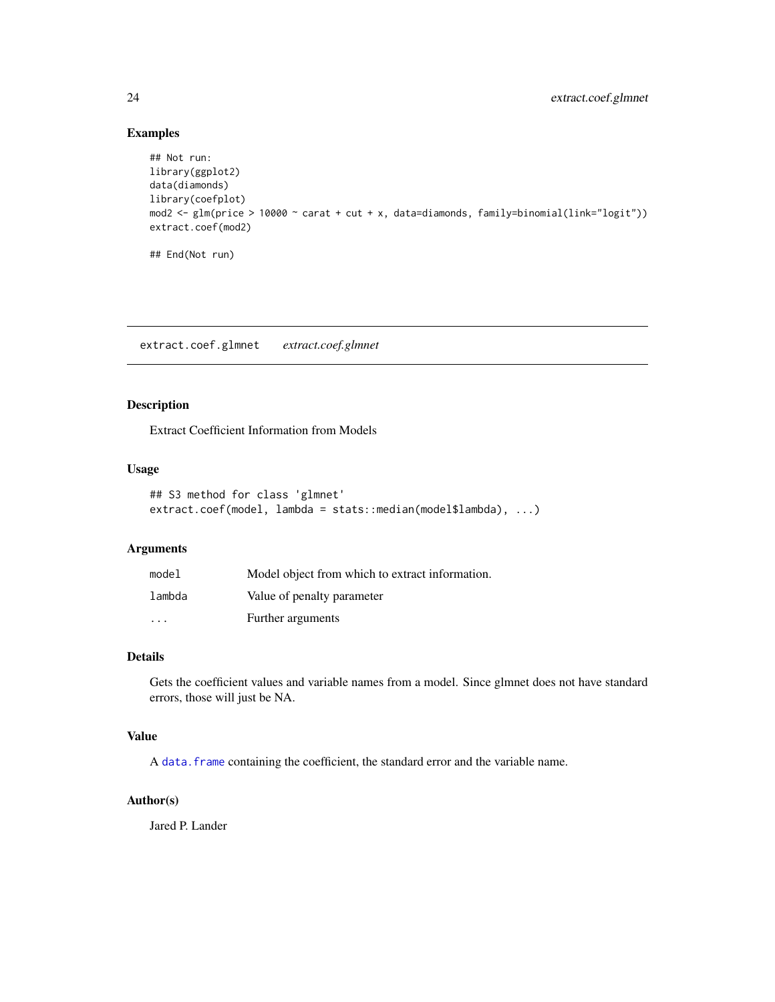# Examples

```
## Not run:
library(ggplot2)
data(diamonds)
library(coefplot)
mod2 <- glm(price > 10000 ~ carat + cut + x, data=diamonds, family=binomial(link="logit"))
extract.coef(mod2)
## End(Not run)
```
extract.coef.glmnet *extract.coef.glmnet*

# Description

Extract Coefficient Information from Models

### Usage

```
## S3 method for class 'glmnet'
extract.coef(model, lambda = stats::median(model$lambda), ...)
```
#### Arguments

| model                   | Model object from which to extract information. |
|-------------------------|-------------------------------------------------|
| lambda                  | Value of penalty parameter                      |
| $\cdot$ $\cdot$ $\cdot$ | Further arguments                               |

# Details

Gets the coefficient values and variable names from a model. Since glmnet does not have standard errors, those will just be NA.

# Value

A data. frame containing the coefficient, the standard error and the variable name.

# Author(s)

Jared P. Lander

<span id="page-23-0"></span>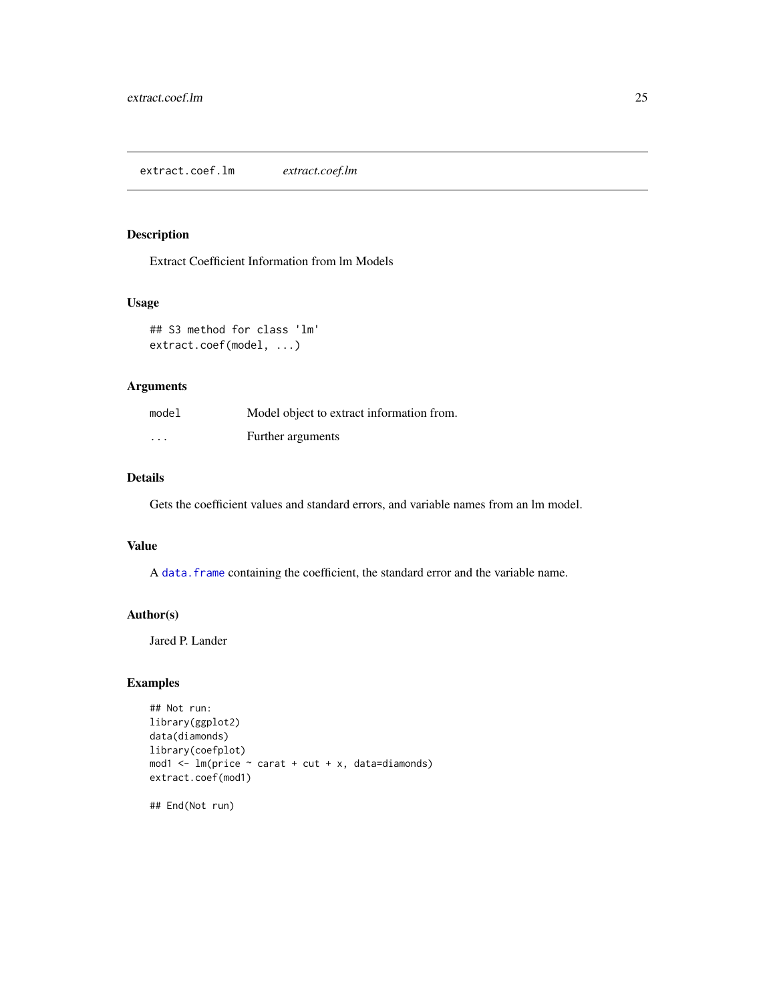# <span id="page-24-0"></span>Description

Extract Coefficient Information from lm Models

#### Usage

```
## S3 method for class 'lm'
extract.coef(model, ...)
```
# Arguments

| model    | Model object to extract information from. |
|----------|-------------------------------------------|
| $\cdots$ | Further arguments                         |

# Details

Gets the coefficient values and standard errors, and variable names from an lm model.

# Value

A data. frame containing the coefficient, the standard error and the variable name.

#### Author(s)

Jared P. Lander

# Examples

```
## Not run:
library(ggplot2)
data(diamonds)
library(coefplot)
mod1 \leq lm(price \sim carat + cut + x, data=diamonds)
extract.coef(mod1)
```
## End(Not run)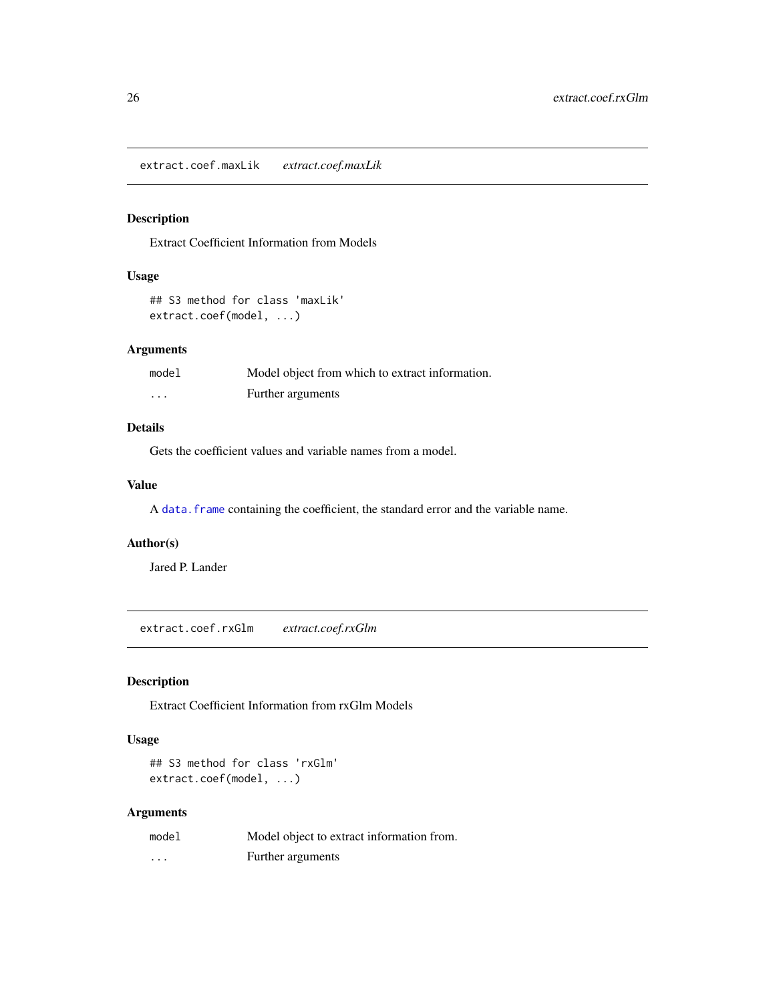<span id="page-25-0"></span>extract.coef.maxLik *extract.coef.maxLik*

# Description

Extract Coefficient Information from Models

#### Usage

```
## S3 method for class 'maxLik'
extract.coef(model, ...)
```
#### Arguments

| model    | Model object from which to extract information. |
|----------|-------------------------------------------------|
| $\cdots$ | Further arguments                               |

# Details

Gets the coefficient values and variable names from a model.

#### Value

A data. frame containing the coefficient, the standard error and the variable name.

# Author(s)

Jared P. Lander

extract.coef.rxGlm *extract.coef.rxGlm*

# Description

Extract Coefficient Information from rxGlm Models

#### Usage

## S3 method for class 'rxGlm' extract.coef(model, ...)

| model    | Model object to extract information from. |
|----------|-------------------------------------------|
| $\cdots$ | Further arguments                         |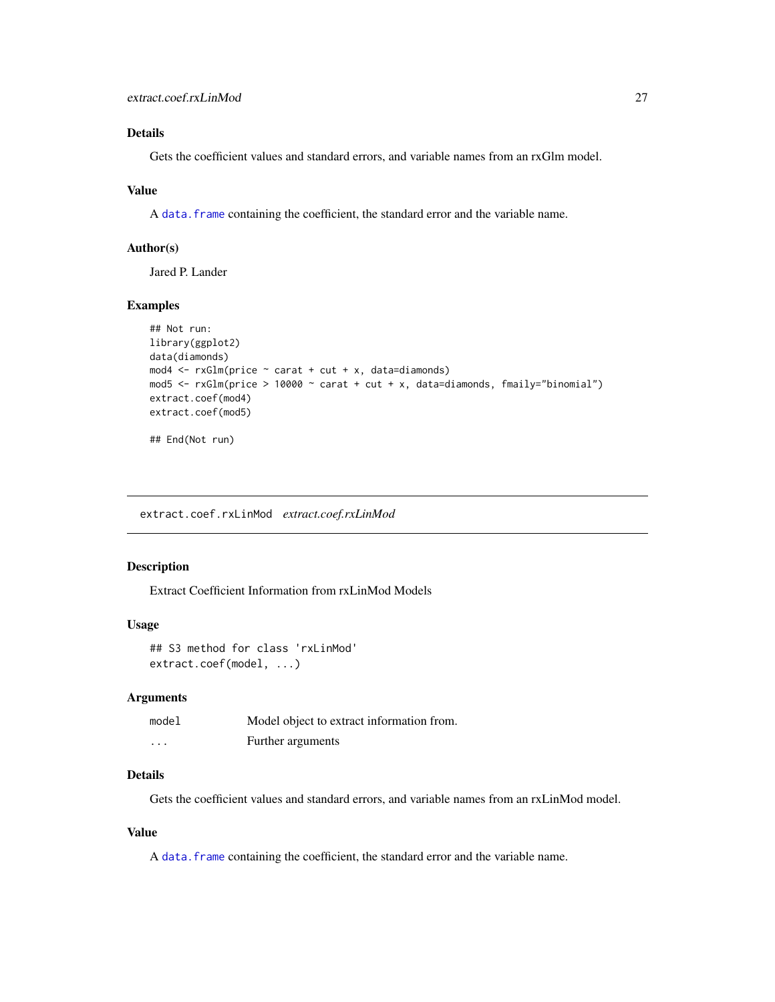# <span id="page-26-0"></span>Details

Gets the coefficient values and standard errors, and variable names from an rxGlm model.

#### Value

A data. frame containing the coefficient, the standard error and the variable name.

#### Author(s)

Jared P. Lander

# Examples

```
## Not run:
library(ggplot2)
data(diamonds)
mod4 \leq rxGlm(price \sim carat + cut + x, data=diamonds)
mod5 <- rxGlm(price > 10000 \sim carat + cut + x, data=diamonds, fmaily="binomial")
extract.coef(mod4)
extract.coef(mod5)
## End(Not run)
```
extract.coef.rxLinMod *extract.coef.rxLinMod*

#### Description

Extract Coefficient Information from rxLinMod Models

#### Usage

```
## S3 method for class 'rxLinMod'
extract.coef(model, ...)
```
#### Arguments

| model    | Model object to extract information from. |
|----------|-------------------------------------------|
| $\cdots$ | Further arguments                         |

#### Details

Gets the coefficient values and standard errors, and variable names from an rxLinMod model.

#### Value

A data. frame containing the coefficient, the standard error and the variable name.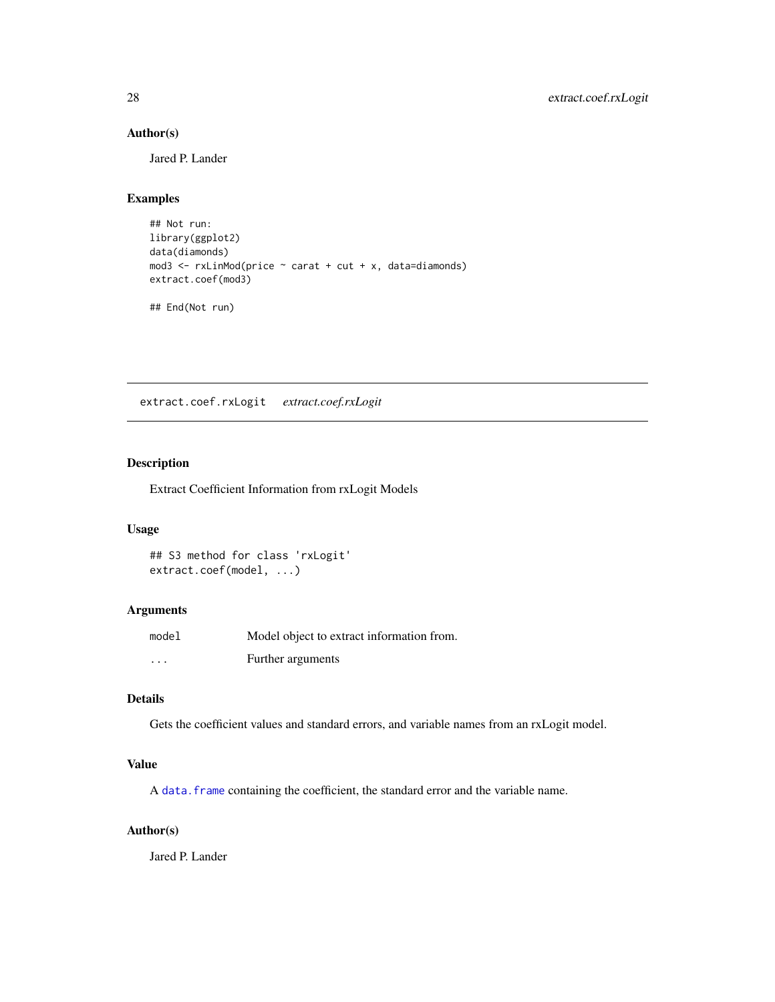# Author(s)

Jared P. Lander

# Examples

```
## Not run:
library(ggplot2)
data(diamonds)
mod3 <- rxLinMod(price ~ carat + cut + x, data=diamonds)
extract.coef(mod3)
```
## End(Not run)

extract.coef.rxLogit *extract.coef.rxLogit*

# Description

Extract Coefficient Information from rxLogit Models

#### Usage

## S3 method for class 'rxLogit' extract.coef(model, ...)

# Arguments

| model    | Model object to extract information from. |
|----------|-------------------------------------------|
| $\cdots$ | Further arguments                         |

# Details

Gets the coefficient values and standard errors, and variable names from an rxLogit model.

#### Value

A data. frame containing the coefficient, the standard error and the variable name.

#### Author(s)

Jared P. Lander

<span id="page-27-0"></span>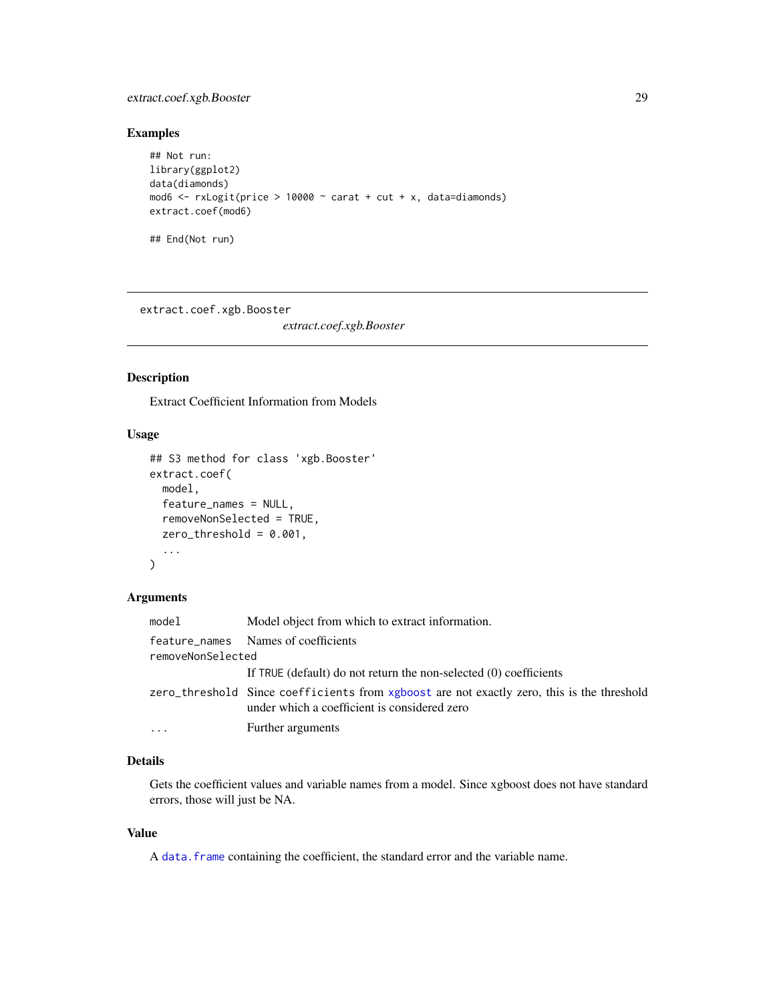# <span id="page-28-0"></span>extract.coef.xgb.Booster 29

# Examples

```
## Not run:
library(ggplot2)
data(diamonds)
mod6 \le rxLogit(price > 10000 \sim carat + cut + x, data=diamonds)
extract.coef(mod6)
## End(Not run)
```
extract.coef.xgb.Booster

*extract.coef.xgb.Booster*

# Description

Extract Coefficient Information from Models

# Usage

```
## S3 method for class 'xgb.Booster'
extract.coef(
 model,
 feature_names = NULL,
  removeNonSelected = TRUE,
  zero_threshold = 0.001,
  ...
\mathcal{L}
```
# Arguments

| model             | Model object from which to extract information.                                                                                            |
|-------------------|--------------------------------------------------------------------------------------------------------------------------------------------|
|                   | feature_names Names of coefficients                                                                                                        |
| removeNonSelected |                                                                                                                                            |
|                   | If TRUE (default) do not return the non-selected (0) coefficients                                                                          |
|                   | zero_threshold Since coefficients from xgboost are not exactly zero, this is the threshold<br>under which a coefficient is considered zero |
| $\cdots$          | Further arguments                                                                                                                          |

# Details

Gets the coefficient values and variable names from a model. Since xgboost does not have standard errors, those will just be NA.

#### Value

A data. frame containing the coefficient, the standard error and the variable name.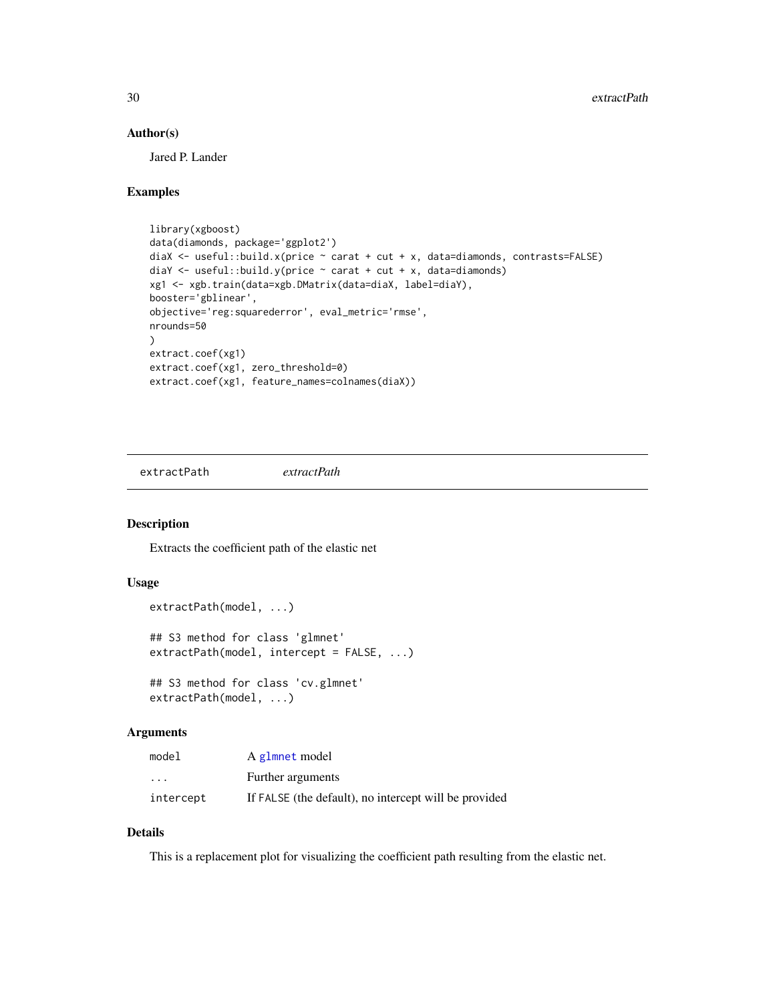#### <span id="page-29-0"></span>Author(s)

Jared P. Lander

# Examples

```
library(xgboost)
data(diamonds, package='ggplot2')
diaX <- useful::build.x(price \sim carat + cut + x, data=diamonds, contrasts=FALSE)
diaY \leq useful::build.y(price \sim carat + cut + x, data=diamonds)
xg1 <- xgb.train(data=xgb.DMatrix(data=diaX, label=diaY),
booster='gblinear',
objective='reg:squarederror', eval_metric='rmse',
nrounds=50
)
extract.coef(xg1)
extract.coef(xg1, zero_threshold=0)
extract.coef(xg1, feature_names=colnames(diaX))
```
<span id="page-29-1"></span>extractPath *extractPath*

#### Description

Extracts the coefficient path of the elastic net

#### Usage

```
extractPath(model, ...)
## S3 method for class 'glmnet'
extractPath(model, intercept = FALSE, ...)
## S3 method for class 'cv.glmnet'
extractPath(model, ...)
```
# Arguments

| model                   | A glmnet model                                        |
|-------------------------|-------------------------------------------------------|
| $\cdot$ $\cdot$ $\cdot$ | Further arguments                                     |
| intercept               | If FALSE (the default), no intercept will be provided |

# Details

This is a replacement plot for visualizing the coefficient path resulting from the elastic net.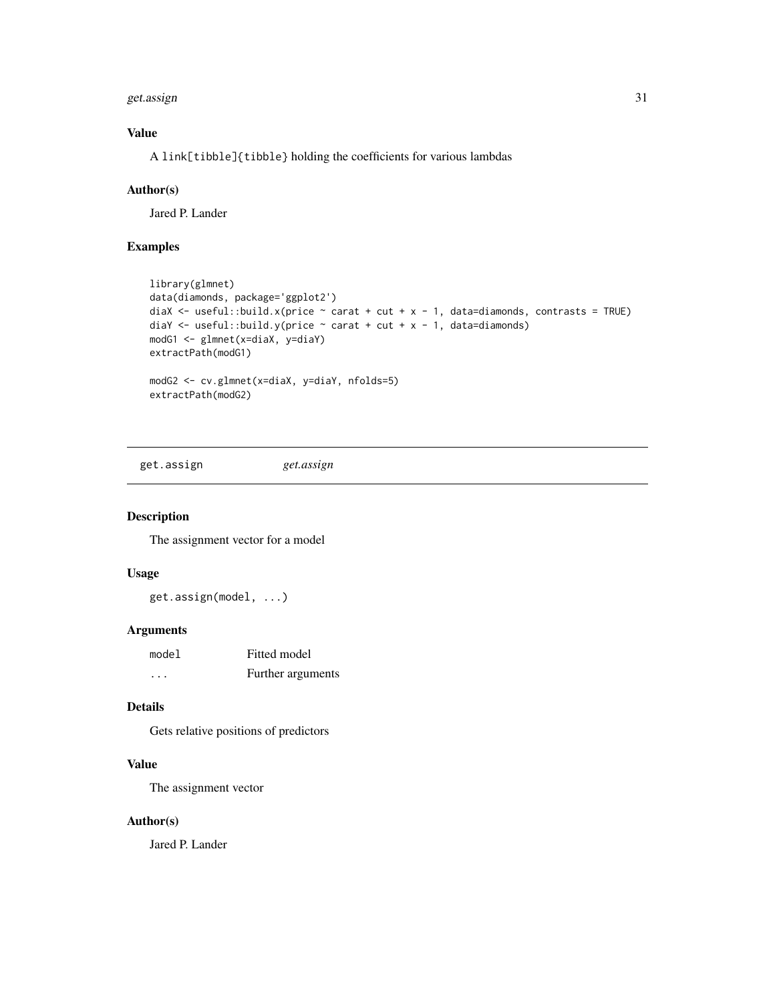#### <span id="page-30-0"></span>get.assign 31

# Value

A link[tibble]{tibble} holding the coefficients for various lambdas

#### Author(s)

Jared P. Lander

#### Examples

```
library(glmnet)
data(diamonds, package='ggplot2')
diaX \le useful::build.x(price \sim carat + cut + x - 1, data=diamonds, contrasts = TRUE)
diaY <- useful::build.y(price \sim carat + cut + x - 1, data=diamonds)
modG1 <- glmnet(x=diaX, y=diaY)
extractPath(modG1)
modG2 <- cv.glmnet(x=diaX, y=diaY, nfolds=5)
extractPath(modG2)
```
get.assign *get.assign*

# Description

The assignment vector for a model

# Usage

get.assign(model, ...)

#### Arguments

| model | Fitted model      |
|-------|-------------------|
| .     | Further arguments |

# Details

Gets relative positions of predictors

# Value

The assignment vector

# Author(s)

Jared P. Lander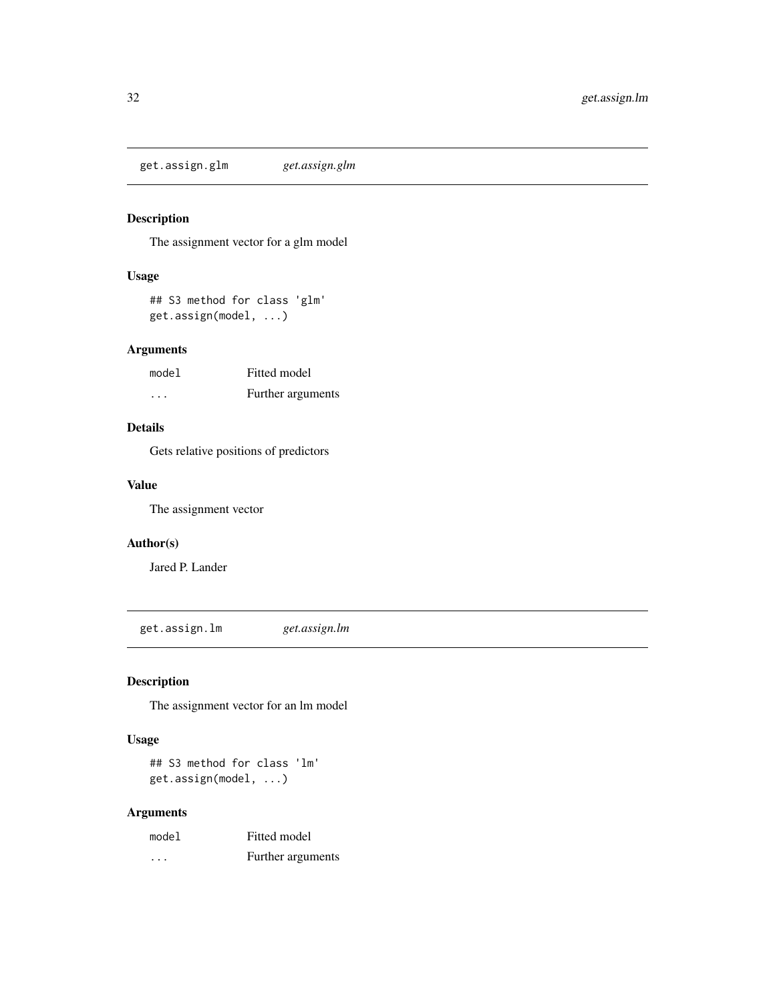<span id="page-31-0"></span>get.assign.glm *get.assign.glm*

# Description

The assignment vector for a glm model

# Usage

## S3 method for class 'glm' get.assign(model, ...)

#### Arguments

| model                   | Fitted model      |
|-------------------------|-------------------|
| $\cdot$ $\cdot$ $\cdot$ | Further arguments |

# Details

Gets relative positions of predictors

## Value

The assignment vector

# Author(s)

Jared P. Lander

get.assign.lm *get.assign.lm*

# Description

The assignment vector for an lm model

#### Usage

## S3 method for class 'lm' get.assign(model, ...)

| model    | Fitted model      |
|----------|-------------------|
| $\cdots$ | Further arguments |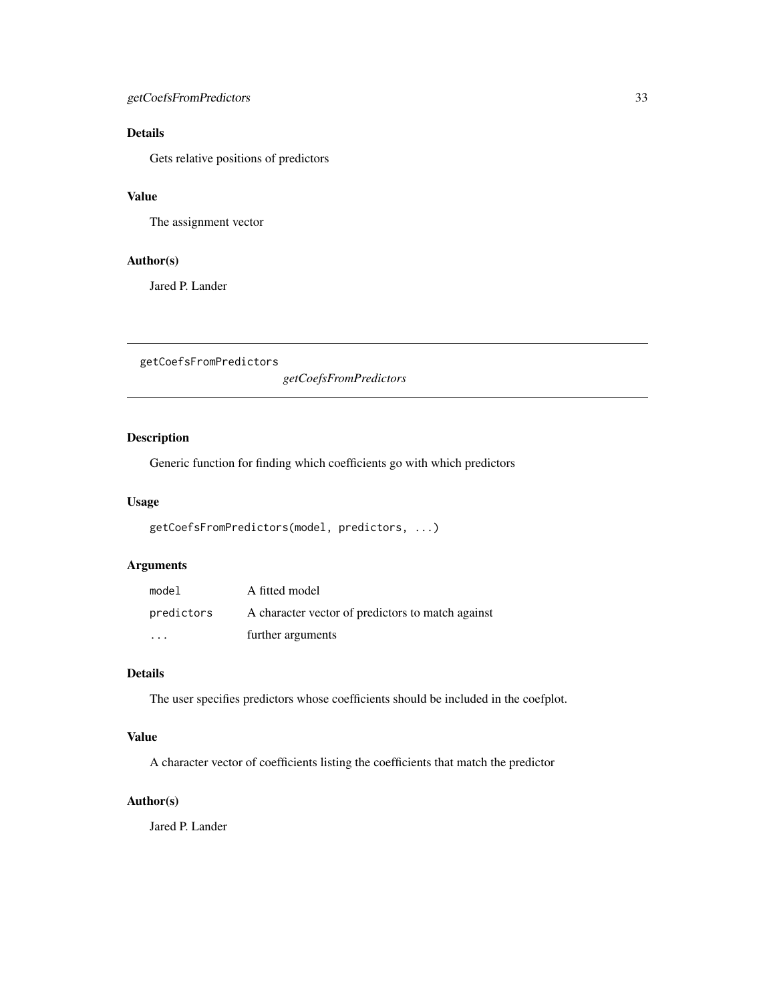# <span id="page-32-0"></span>getCoefsFromPredictors 33

# Details

Gets relative positions of predictors

# Value

The assignment vector

# Author(s)

Jared P. Lander

getCoefsFromPredictors

*getCoefsFromPredictors*

# Description

Generic function for finding which coefficients go with which predictors

# Usage

```
getCoefsFromPredictors(model, predictors, ...)
```
# Arguments

| model      | A fitted model                                    |
|------------|---------------------------------------------------|
| predictors | A character vector of predictors to match against |
| .          | further arguments                                 |

# Details

The user specifies predictors whose coefficients should be included in the coefplot.

#### Value

A character vector of coefficients listing the coefficients that match the predictor

#### Author(s)

Jared P. Lander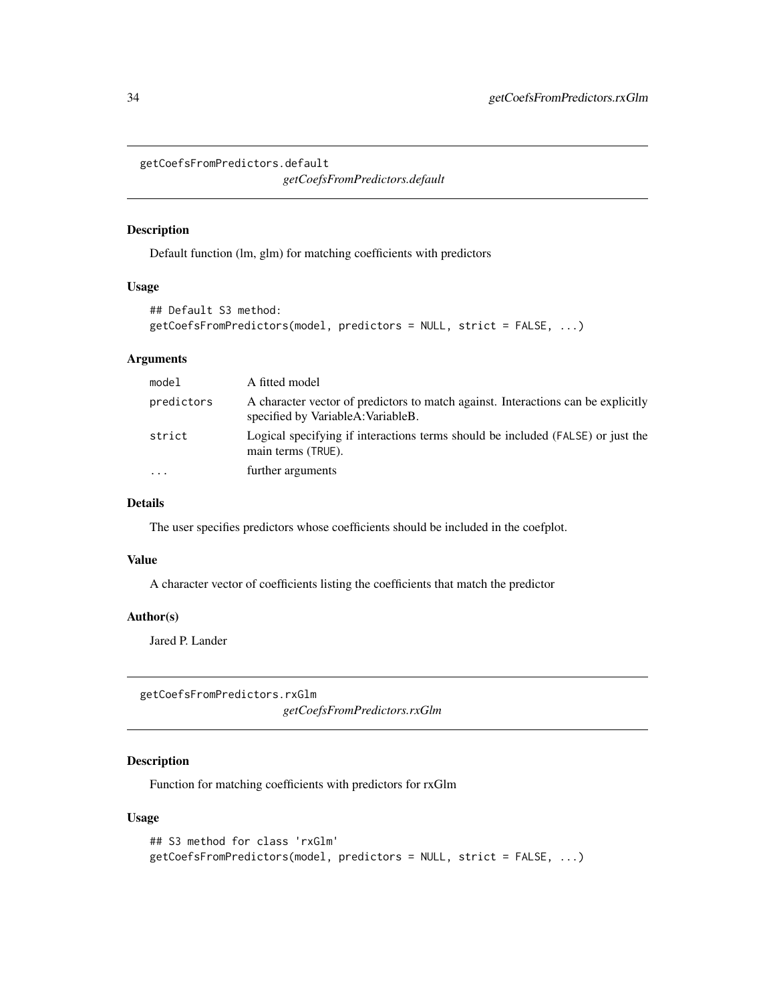<span id="page-33-0"></span>getCoefsFromPredictors.default

*getCoefsFromPredictors.default*

# Description

Default function (lm, glm) for matching coefficients with predictors

#### Usage

```
## Default S3 method:
getCoefsFromPredictors(model, predictors = NULL, strict = FALSE, ...)
```
# Arguments

| model      | A fitted model                                                                                                          |
|------------|-------------------------------------------------------------------------------------------------------------------------|
| predictors | A character vector of predictors to match against. Interactions can be explicitly<br>specified by VariableA: VariableB. |
| strict     | Logical specifying if interactions terms should be included (FALSE) or just the<br>main terms (TRUE).                   |
| .          | further arguments                                                                                                       |

#### Details

The user specifies predictors whose coefficients should be included in the coefplot.

#### Value

A character vector of coefficients listing the coefficients that match the predictor

#### Author(s)

Jared P. Lander

getCoefsFromPredictors.rxGlm *getCoefsFromPredictors.rxGlm*

# Description

Function for matching coefficients with predictors for rxGlm

#### Usage

```
## S3 method for class 'rxGlm'
getCoefsFromPredictors(model, predictors = NULL, strict = FALSE, ...)
```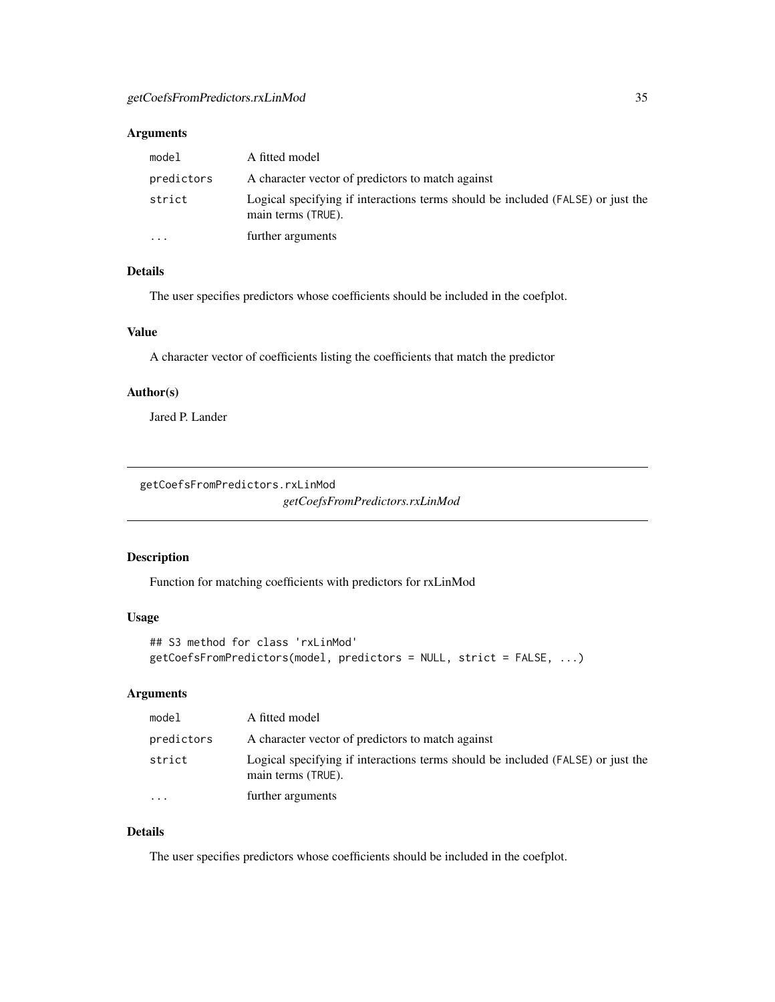# <span id="page-34-0"></span>Arguments

| model      | A fitted model                                                                                        |
|------------|-------------------------------------------------------------------------------------------------------|
| predictors | A character vector of predictors to match against                                                     |
| strict     | Logical specifying if interactions terms should be included (FALSE) or just the<br>main terms (TRUE). |
| $\cdots$   | further arguments                                                                                     |

# Details

The user specifies predictors whose coefficients should be included in the coefplot.

# Value

A character vector of coefficients listing the coefficients that match the predictor

# Author(s)

Jared P. Lander

getCoefsFromPredictors.rxLinMod

*getCoefsFromPredictors.rxLinMod*

# Description

Function for matching coefficients with predictors for rxLinMod

### Usage

```
## S3 method for class 'rxLinMod'
getCoefsFromPredictors(model, predictors = NULL, strict = FALSE, ...)
```
# Arguments

| model                   | A fitted model                                                                                        |
|-------------------------|-------------------------------------------------------------------------------------------------------|
| predictors              | A character vector of predictors to match against                                                     |
| strict                  | Logical specifying if interactions terms should be included (FALSE) or just the<br>main terms (TRUE). |
| $\cdot$ $\cdot$ $\cdot$ | further arguments                                                                                     |

# Details

The user specifies predictors whose coefficients should be included in the coefplot.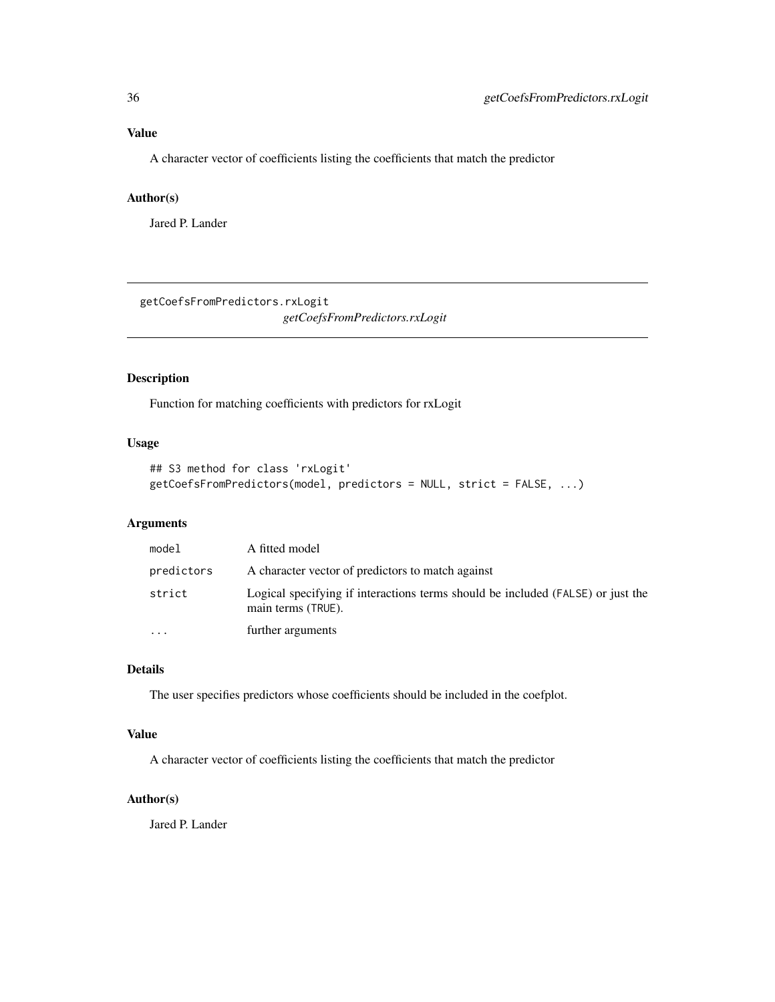# <span id="page-35-0"></span>Value

A character vector of coefficients listing the coefficients that match the predictor

# Author(s)

Jared P. Lander

getCoefsFromPredictors.rxLogit *getCoefsFromPredictors.rxLogit*

# Description

Function for matching coefficients with predictors for rxLogit

# Usage

```
## S3 method for class 'rxLogit'
getCoefsFromPredictors(model, predictors = NULL, strict = FALSE, ...)
```
# Arguments

| model      | A fitted model                                                                                        |
|------------|-------------------------------------------------------------------------------------------------------|
| predictors | A character vector of predictors to match against                                                     |
| strict     | Logical specifying if interactions terms should be included (FALSE) or just the<br>main terms (TRUE). |
| $\ddotsc$  | further arguments                                                                                     |

# Details

The user specifies predictors whose coefficients should be included in the coefplot.

# Value

A character vector of coefficients listing the coefficients that match the predictor

# Author(s)

Jared P. Lander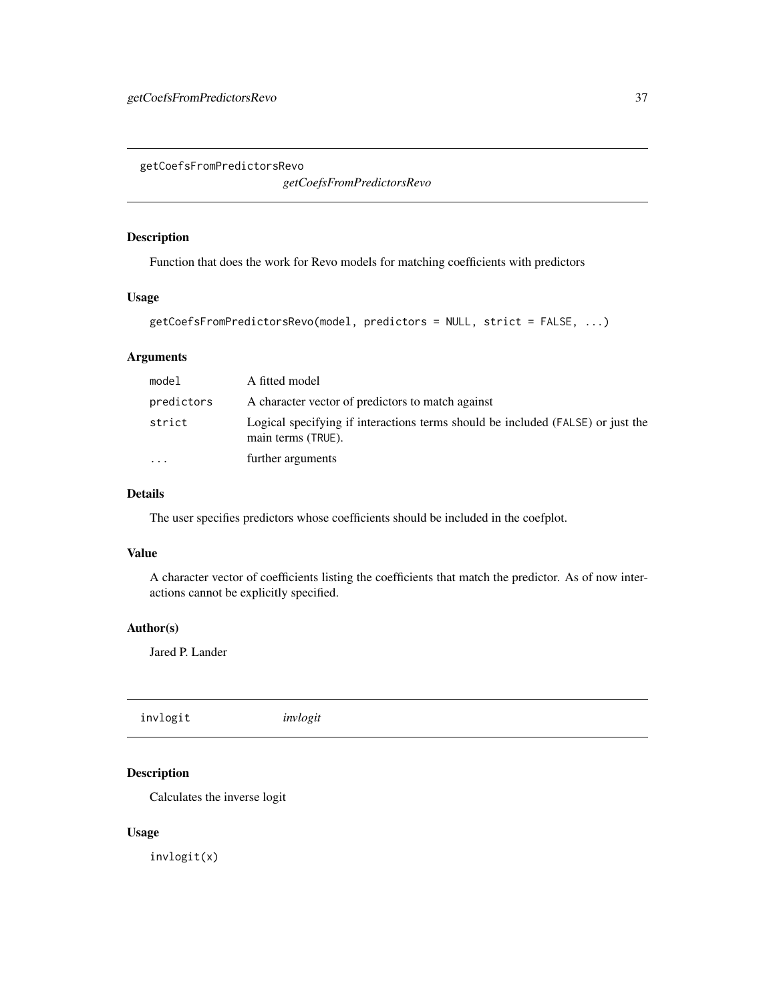<span id="page-36-1"></span><span id="page-36-0"></span>getCoefsFromPredictorsRevo

*getCoefsFromPredictorsRevo*

# Description

Function that does the work for Revo models for matching coefficients with predictors

#### Usage

```
getCoefsFromPredictorsRevo(model, predictors = NULL, strict = FALSE, ...)
```
# Arguments

| model                   | A fitted model                                                                                        |
|-------------------------|-------------------------------------------------------------------------------------------------------|
| predictors              | A character vector of predictors to match against                                                     |
| strict                  | Logical specifying if interactions terms should be included (FALSE) or just the<br>main terms (TRUE). |
| $\cdot$ $\cdot$ $\cdot$ | further arguments                                                                                     |

# Details

The user specifies predictors whose coefficients should be included in the coefplot.

#### Value

A character vector of coefficients listing the coefficients that match the predictor. As of now interactions cannot be explicitly specified.

#### Author(s)

Jared P. Lander

invlogit *invlogit*

# Description

Calculates the inverse logit

# Usage

invlogit(x)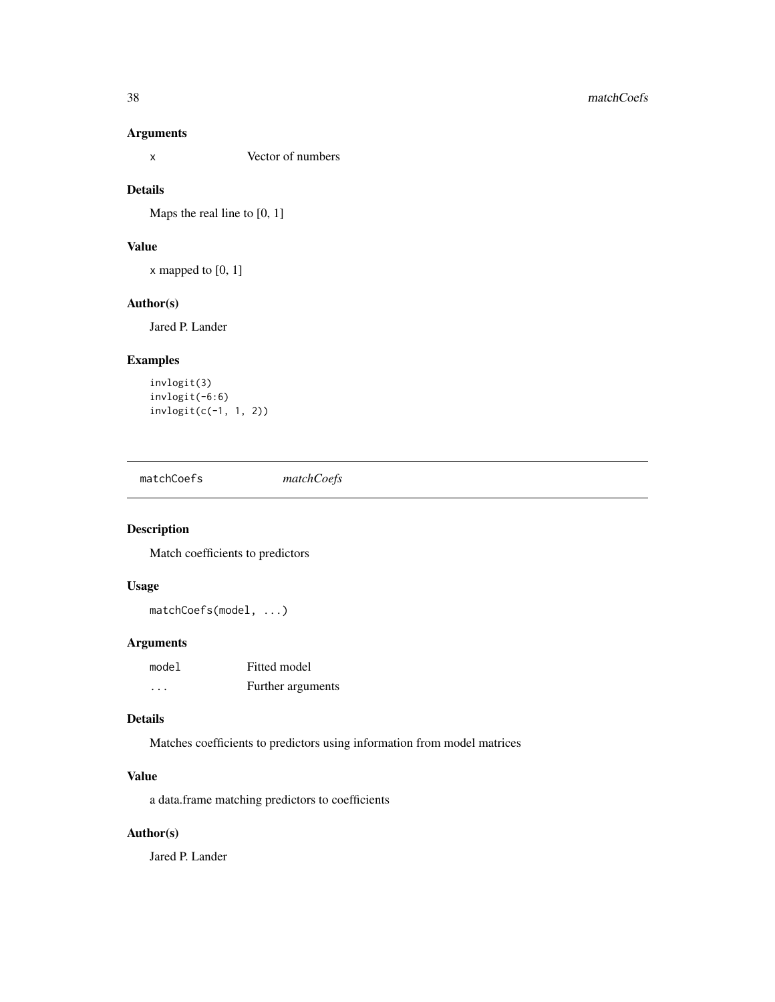# <span id="page-37-0"></span>Arguments

x Vector of numbers

# Details

Maps the real line to [0, 1]

# Value

x mapped to [0, 1]

# Author(s)

Jared P. Lander

# Examples

```
invlogit(3)
invlogit(-6:6)
invlogit(c(-1, 1, 2))
```
matchCoefs *matchCoefs*

# Description

Match coefficients to predictors

# Usage

matchCoefs(model, ...)

#### Arguments

| model | Fitted model      |
|-------|-------------------|
| .     | Further arguments |

# Details

Matches coefficients to predictors using information from model matrices

# Value

a data.frame matching predictors to coefficients

# Author(s)

Jared P. Lander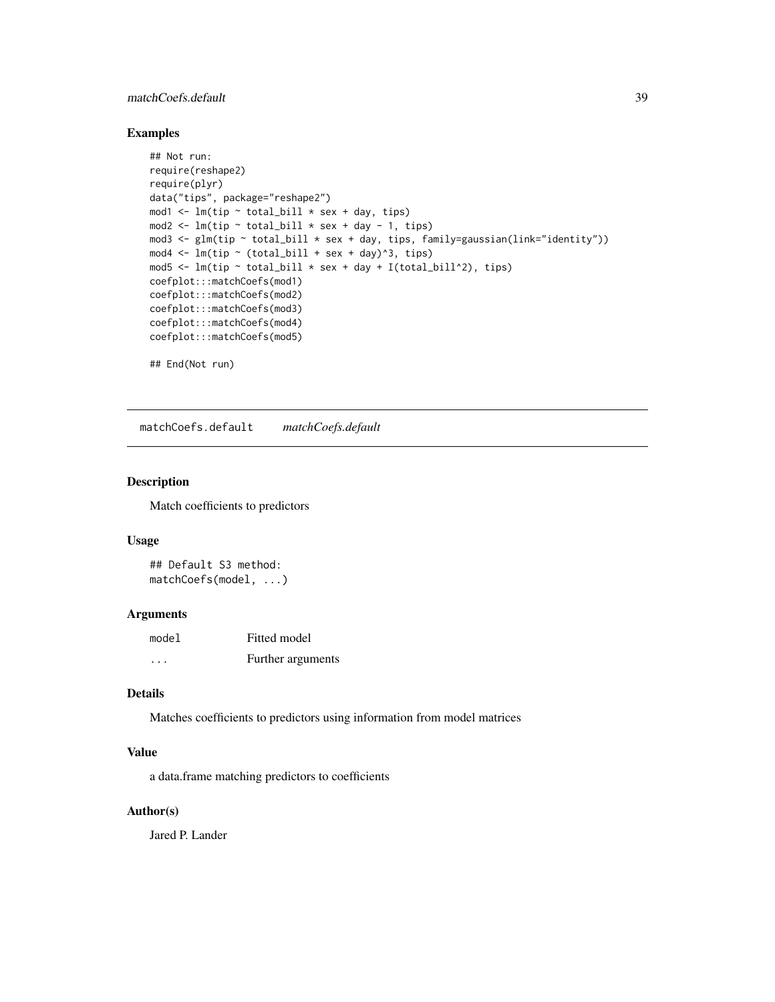# <span id="page-38-0"></span>matchCoefs.default 39

# Examples

```
## Not run:
require(reshape2)
require(plyr)
data("tips", package="reshape2")
mod1 <- lm(tip \sim total\_bill \times sex + day, tips)mod2 \leq lm(tip \sim total_bill * sex + day - 1, tips)
mod3 <- glm(tip ~ total_bill * sex + day, tips, family=gaussian(link="identity"))
mod4 \leftarrow lm(tip \sim (total_bill + sex + day)^3, tips)
mod5 <- lm(tip \sim total\_bill \times sex + day + I(total\_bill^2), tips)coefplot:::matchCoefs(mod1)
coefplot:::matchCoefs(mod2)
coefplot:::matchCoefs(mod3)
coefplot:::matchCoefs(mod4)
coefplot:::matchCoefs(mod5)
```
## End(Not run)

matchCoefs.default *matchCoefs.default*

# Description

Match coefficients to predictors

#### Usage

## Default S3 method: matchCoefs(model, ...)

#### Arguments

| model | Fitted model      |
|-------|-------------------|
| .     | Further arguments |

#### Details

Matches coefficients to predictors using information from model matrices

# Value

a data.frame matching predictors to coefficients

# Author(s)

Jared P. Lander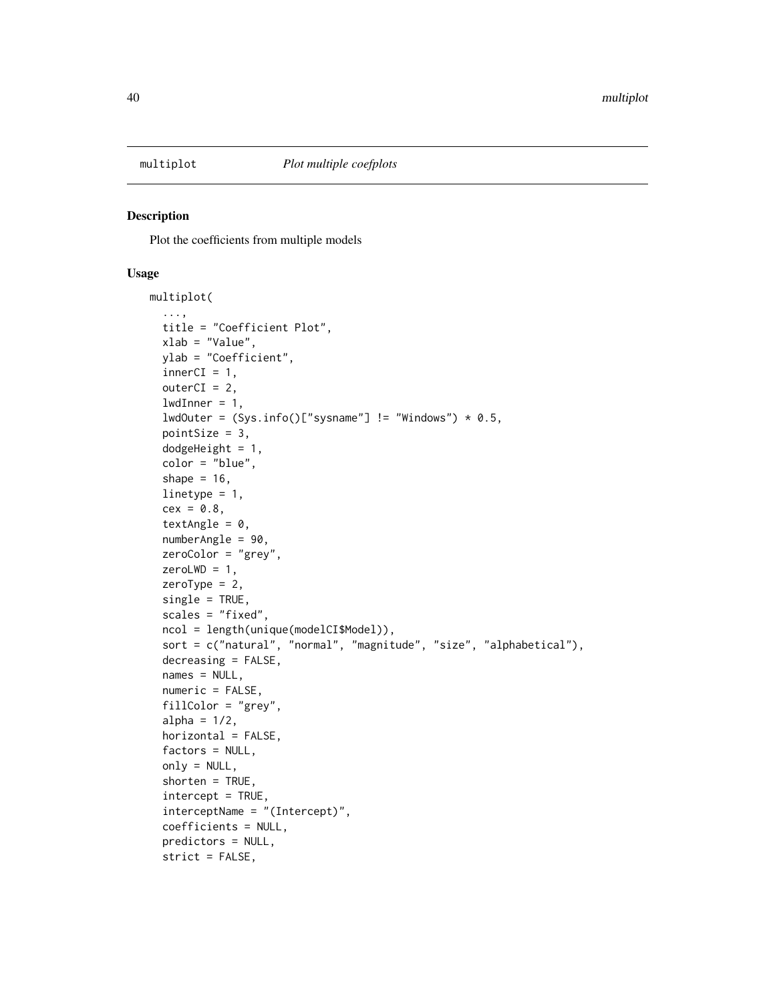<span id="page-39-1"></span><span id="page-39-0"></span>

#### Description

Plot the coefficients from multiple models

#### Usage

```
multiplot(
  ...,
  title = "Coefficient Plot",
  xlab = "Value",
 ylab = "Coefficient",
  innerCI = 1,
  outerCI = 2,
  lwdInner = 1,lwdOuter = (Sys.info()['systemame''] != "Windows") * 0.5,pointSize = 3,
  dodgeHeight = 1,
  color = "blue",
  shape = 16,
  linetype = 1,
  cex = 0.8,
  textAngle = 0,
  numberAngle = 90,
  zeroColor = "grey",
  zeroLWD = 1,zeroType = 2,
  single = TRUE,
  scales = "fixed",
  ncol = length(unique(modelCI$Model)),
  sort = c("natural", "normal", "magnitude", "size", "alphabetical"),
  decreasing = FALSE,
  names = NULL,
  numeric = FALSE,
  fillColor = "grey",
  alpha = 1/2,
  horizontal = FALSE,
  factors = NULL,
  only = NULL,
  shorten = TRUE,
  intercept = TRUE,
  interceptName = "(Intercept)",
  coefficients = NULL,
  predictors = NULL,
  strict = FALSE,
```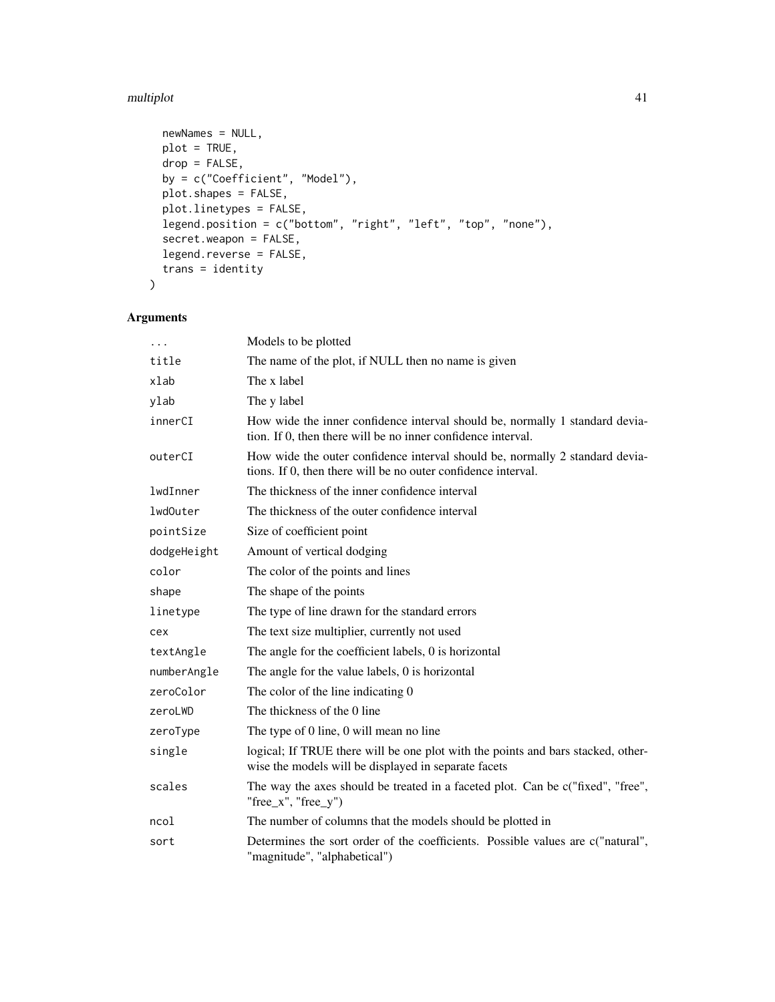#### multiplot 41

```
newNames = NULL,
 plot = TRUE,
 drop = FALSE,by = c("Coefficient", "Model"),
 plot.shapes = FALSE,
 plot.linetypes = FALSE,
 legend.position = c("bottom", "right", "left", "top", "none"),
  secret.weapon = FALSE,
 legend.reverse = FALSE,
  trans = identity
\mathcal{L}
```

| $\cdots$    | Models to be plotted                                                                                                                          |
|-------------|-----------------------------------------------------------------------------------------------------------------------------------------------|
| title       | The name of the plot, if NULL then no name is given                                                                                           |
| xlab        | The x label                                                                                                                                   |
| ylab        | The y label                                                                                                                                   |
| innerCI     | How wide the inner confidence interval should be, normally 1 standard devia-<br>tion. If 0, then there will be no inner confidence interval.  |
| outerCI     | How wide the outer confidence interval should be, normally 2 standard devia-<br>tions. If 0, then there will be no outer confidence interval. |
| lwdInner    | The thickness of the inner confidence interval                                                                                                |
| lwd0uter    | The thickness of the outer confidence interval                                                                                                |
| pointSize   | Size of coefficient point                                                                                                                     |
| dodgeHeight | Amount of vertical dodging                                                                                                                    |
| color       | The color of the points and lines                                                                                                             |
| shape       | The shape of the points                                                                                                                       |
| linetype    | The type of line drawn for the standard errors                                                                                                |
| cex         | The text size multiplier, currently not used                                                                                                  |
| textAngle   | The angle for the coefficient labels, 0 is horizontal                                                                                         |
| numberAngle | The angle for the value labels, 0 is horizontal                                                                                               |
| zeroColor   | The color of the line indicating 0                                                                                                            |
| zeroLWD     | The thickness of the 0 line                                                                                                                   |
| zeroType    | The type of 0 line, 0 will mean no line                                                                                                       |
| single      | logical; If TRUE there will be one plot with the points and bars stacked, other-<br>wise the models will be displayed in separate facets      |
| scales      | The way the axes should be treated in a faceted plot. Can be c("fixed", "free",<br>"free_ $x$ ", "free_ $y$ ")                                |
| ncol        | The number of columns that the models should be plotted in                                                                                    |
| sort        | Determines the sort order of the coefficients. Possible values are c("natural",<br>"magnitude", "alphabetical")                               |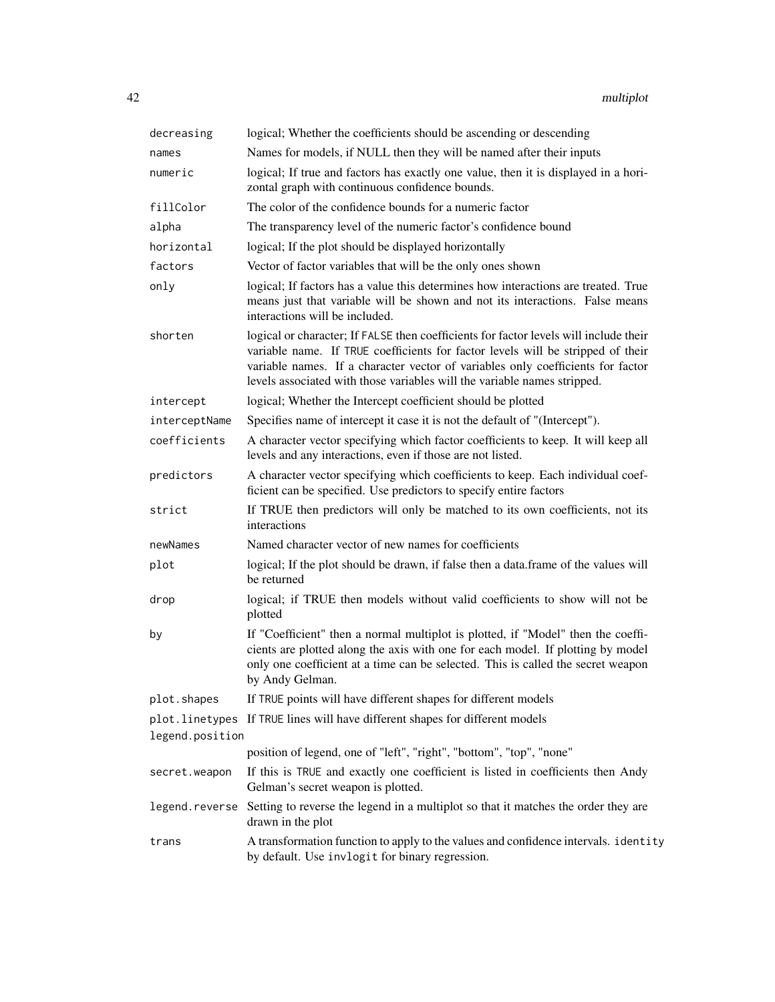| decreasing      | logical; Whether the coefficients should be ascending or descending                                                                                                                                                                                                                                                                     |
|-----------------|-----------------------------------------------------------------------------------------------------------------------------------------------------------------------------------------------------------------------------------------------------------------------------------------------------------------------------------------|
| names           | Names for models, if NULL then they will be named after their inputs                                                                                                                                                                                                                                                                    |
| numeric         | logical; If true and factors has exactly one value, then it is displayed in a hori-<br>zontal graph with continuous confidence bounds.                                                                                                                                                                                                  |
| fillColor       | The color of the confidence bounds for a numeric factor                                                                                                                                                                                                                                                                                 |
| alpha           | The transparency level of the numeric factor's confidence bound                                                                                                                                                                                                                                                                         |
| horizontal      | logical; If the plot should be displayed horizontally                                                                                                                                                                                                                                                                                   |
| factors         | Vector of factor variables that will be the only ones shown                                                                                                                                                                                                                                                                             |
| only            | logical; If factors has a value this determines how interactions are treated. True<br>means just that variable will be shown and not its interactions. False means<br>interactions will be included.                                                                                                                                    |
| shorten         | logical or character; If FALSE then coefficients for factor levels will include their<br>variable name. If TRUE coefficients for factor levels will be stripped of their<br>variable names. If a character vector of variables only coefficients for factor<br>levels associated with those variables will the variable names stripped. |
| intercept       | logical; Whether the Intercept coefficient should be plotted                                                                                                                                                                                                                                                                            |
| interceptName   | Specifies name of intercept it case it is not the default of "(Intercept").                                                                                                                                                                                                                                                             |
| coefficients    | A character vector specifying which factor coefficients to keep. It will keep all<br>levels and any interactions, even if those are not listed.                                                                                                                                                                                         |
| predictors      | A character vector specifying which coefficients to keep. Each individual coef-<br>ficient can be specified. Use predictors to specify entire factors                                                                                                                                                                                   |
| strict          | If TRUE then predictors will only be matched to its own coefficients, not its<br>interactions                                                                                                                                                                                                                                           |
| newNames        | Named character vector of new names for coefficients                                                                                                                                                                                                                                                                                    |
| plot            | logical; If the plot should be drawn, if false then a data.frame of the values will<br>be returned                                                                                                                                                                                                                                      |
| drop            | logical; if TRUE then models without valid coefficients to show will not be<br>plotted                                                                                                                                                                                                                                                  |
| by              | If "Coefficient" then a normal multiplot is plotted, if "Model" then the coeffi-<br>cients are plotted along the axis with one for each model. If plotting by model<br>only one coefficient at a time can be selected. This is called the secret weapon<br>by Andy Gelman.                                                              |
| plot.shapes     | If TRUE points will have different shapes for different models                                                                                                                                                                                                                                                                          |
| legend.position | plot. linetypes If TRUE lines will have different shapes for different models                                                                                                                                                                                                                                                           |
|                 | position of legend, one of "left", "right", "bottom", "top", "none"                                                                                                                                                                                                                                                                     |
| secret.weapon   | If this is TRUE and exactly one coefficient is listed in coefficients then Andy<br>Gelman's secret weapon is plotted.                                                                                                                                                                                                                   |
|                 | legend. reverse Setting to reverse the legend in a multiplot so that it matches the order they are<br>drawn in the plot                                                                                                                                                                                                                 |
| trans           | A transformation function to apply to the values and confidence intervals. identity<br>by default. Use invlogit for binary regression.                                                                                                                                                                                                  |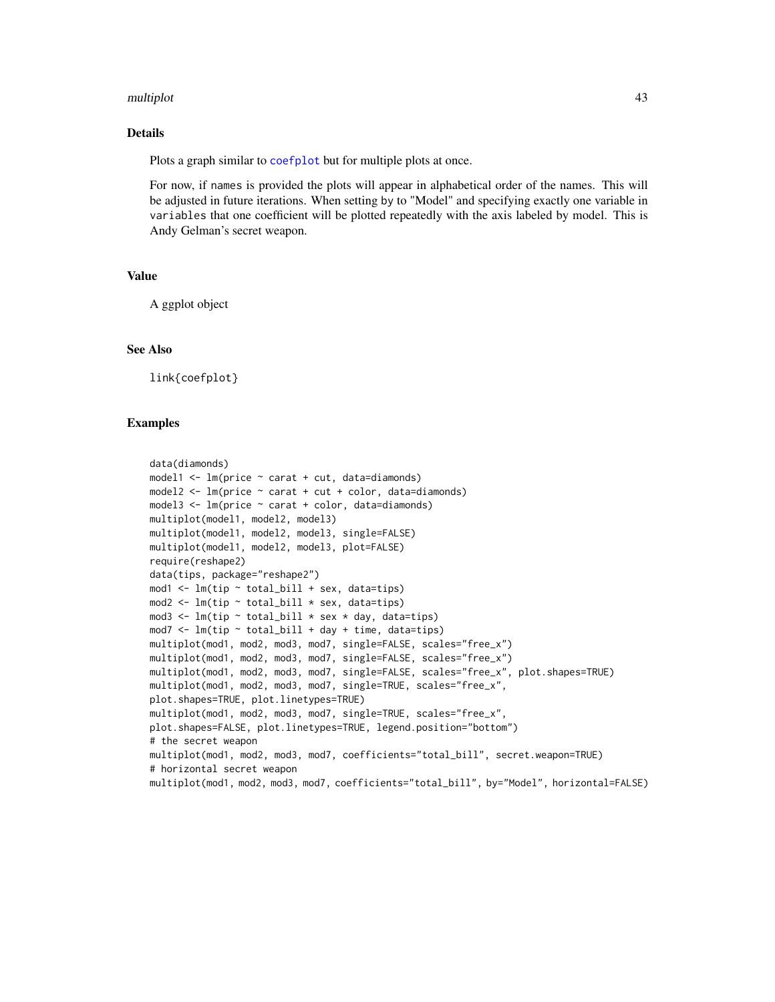#### <span id="page-42-0"></span>multiplot 43

#### Details

Plots a graph similar to [coefplot](#page-11-1) but for multiple plots at once.

For now, if names is provided the plots will appear in alphabetical order of the names. This will be adjusted in future iterations. When setting by to "Model" and specifying exactly one variable in variables that one coefficient will be plotted repeatedly with the axis labeled by model. This is Andy Gelman's secret weapon.

#### Value

A ggplot object

#### See Also

link{coefplot}

#### Examples

```
data(diamonds)
model1 \leq lm(price \sim carat + cut, data=diamonds)
model2 <- lm(price ~ carat + cut + color, data=diamonds)
model3 <- lm(price ~ carat + color, data=diamonds)
multiplot(model1, model2, model3)
multiplot(model1, model2, model3, single=FALSE)
multiplot(model1, model2, model3, plot=FALSE)
require(reshape2)
data(tips, package="reshape2")
mod1 <- lm(tip ~ total_bill + sex, data=tips)
mod2 <- lm(tip ~ total_bill * sex, data=tips)
mod3 <- lm(tip \sim total\_bill \times sex \times day, data=tips)mod7 <- lm(tip \sim total\_bill + day + time, data = tips)multiplot(mod1, mod2, mod3, mod7, single=FALSE, scales="free_x")
multiplot(mod1, mod2, mod3, mod7, single=FALSE, scales="free_x")
multiplot(mod1, mod2, mod3, mod7, single=FALSE, scales="free_x", plot.shapes=TRUE)
multiplot(mod1, mod2, mod3, mod7, single=TRUE, scales="free_x",
plot.shapes=TRUE, plot.linetypes=TRUE)
multiplot(mod1, mod2, mod3, mod7, single=TRUE, scales="free_x",
plot.shapes=FALSE, plot.linetypes=TRUE, legend.position="bottom")
# the secret weapon
multiplot(mod1, mod2, mod3, mod7, coefficients="total_bill", secret.weapon=TRUE)
# horizontal secret weapon
multiplot(mod1, mod2, mod3, mod7, coefficients="total_bill", by="Model", horizontal=FALSE)
```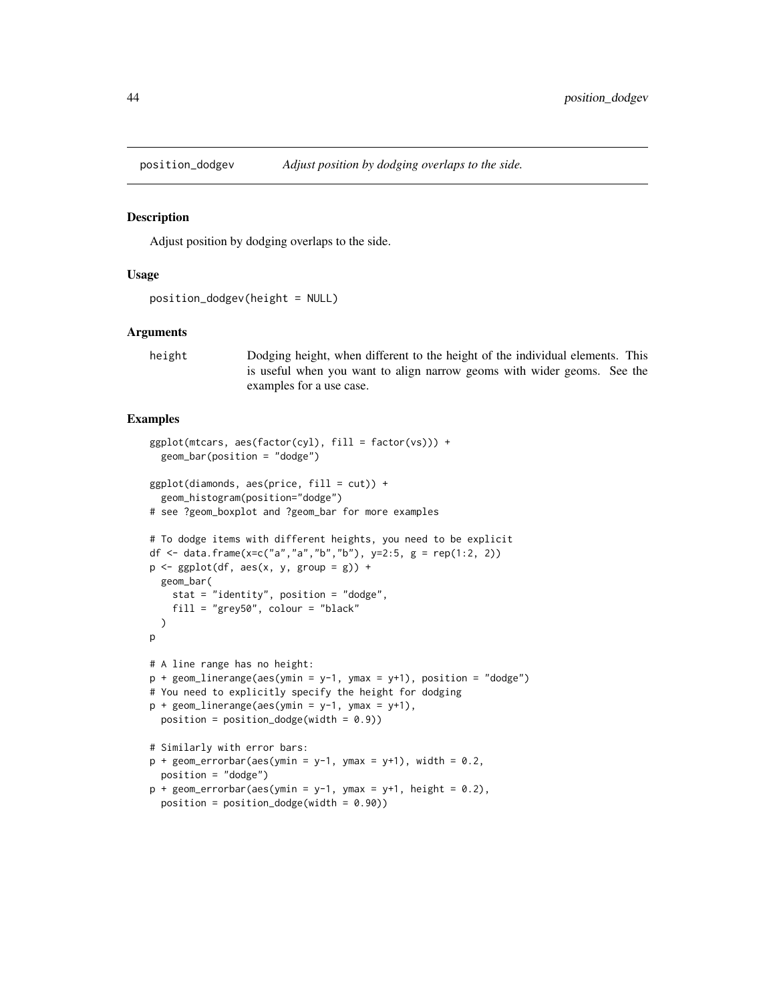<span id="page-43-0"></span>

#### Description

Adjust position by dodging overlaps to the side.

#### Usage

```
position_dodgev(height = NULL)
```
#### Arguments

height Dodging height, when different to the height of the individual elements. This is useful when you want to align narrow geoms with wider geoms. See the examples for a use case.

#### Examples

```
ggplot(mtcars, aes(factor(cyl), fill = factor(vs))) +geom_bar(position = "dodge")
ggplot(diamonds, aes(price, fill = cut)) +geom_histogram(position="dodge")
# see ?geom_boxplot and ?geom_bar for more examples
# To dodge items with different heights, you need to be explicit
df <- data.frame(x=c("a","a","b","b"), y=2:5, g = rep(1:2, 2))
p \leftarrow \text{ggplot}(df, \text{aes}(x, y, \text{group} = g)) +geom_bar(
    stat = "identity", position = "dodge",
    fill = "grey50", colour = "black"
  )
p
# A line range has no height:
p + geom\_linear</math> (aes(vmin = y-1, ymax = y+1), position = "dodge")# You need to explicitly specify the height for dodging
p + geom\_linearange(aes(ymin = y-1, ymax = y+1),position = position\_dodge(width = 0.9))
# Similarly with error bars:
p + geom_errorbar(aes(ymin = y-1, ymax = y+1), width = 0.2,position = "dodge")
p + geom\_errorbar(aes(ymin = y-1, ymax = y+1, height = 0.2),
  position = position\_dodge(width = 0.90)
```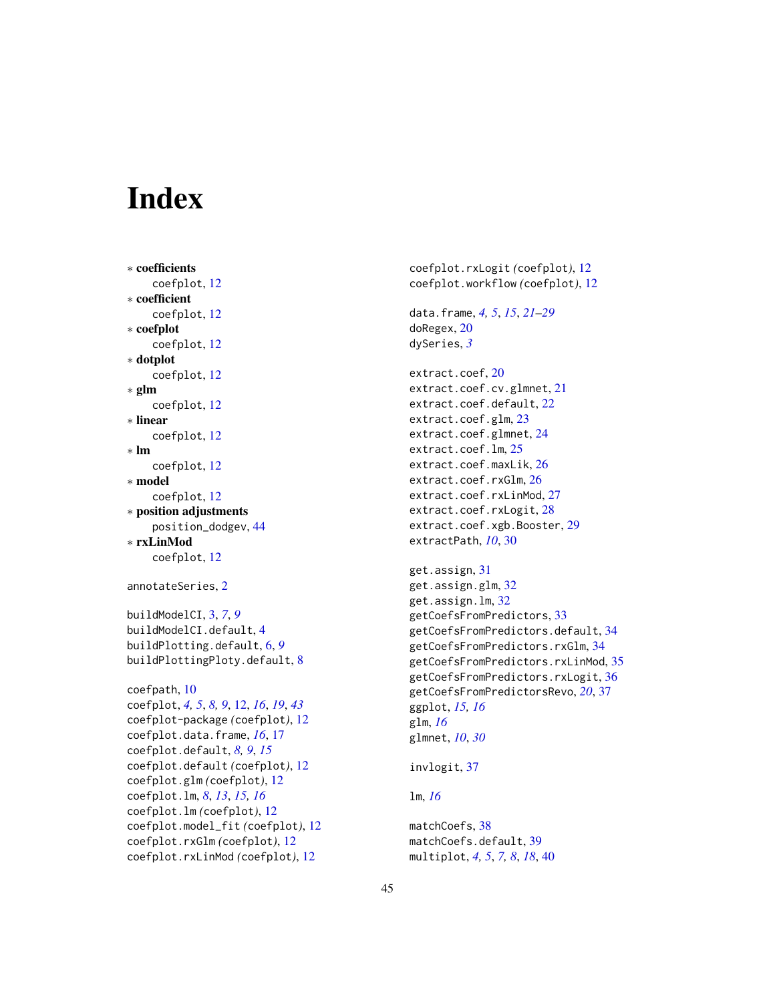# <span id="page-44-0"></span>**Index**

∗ coefficients coefplot, [12](#page-11-0) ∗ coefficient coefplot, [12](#page-11-0) ∗ coefplot coefplot, [12](#page-11-0) ∗ dotplot coefplot, [12](#page-11-0) ∗ glm coefplot, [12](#page-11-0) ∗ linear coefplot, [12](#page-11-0) ∗ lm coefplot, [12](#page-11-0) ∗ model coefplot, [12](#page-11-0) ∗ position adjustments position\_dodgev, [44](#page-43-0) ∗ rxLinMod coefplot, [12](#page-11-0) annotateSeries, [2](#page-1-0) buildModelCI, [3,](#page-2-0) *[7](#page-6-0)*, *[9](#page-8-0)* buildModelCI.default, [4](#page-3-0) buildPlotting.default, [6,](#page-5-0) *[9](#page-8-0)* buildPlottingPloty.default, [8](#page-7-0) coefpath, [10](#page-9-0) coefplot, *[4,](#page-3-0) [5](#page-4-0)*, *[8,](#page-7-0) [9](#page-8-0)*, [12,](#page-11-0) *[16](#page-15-0)*, *[19](#page-18-0)*, *[43](#page-42-0)* coefplot-package *(*coefplot*)*, [12](#page-11-0) coefplot.data.frame, *[16](#page-15-0)*, [17](#page-16-0) coefplot.default, *[8,](#page-7-0) [9](#page-8-0)*, *[15](#page-14-0)* coefplot.default *(*coefplot*)*, [12](#page-11-0) coefplot.glm *(*coefplot*)*, [12](#page-11-0) coefplot.lm, *[8](#page-7-0)*, *[13](#page-12-0)*, *[15,](#page-14-0) [16](#page-15-0)* coefplot.lm *(*coefplot*)*, [12](#page-11-0) coefplot.model\_fit *(*coefplot*)*, [12](#page-11-0) coefplot.rxGlm *(*coefplot*)*, [12](#page-11-0) coefplot.rxLinMod *(*coefplot*)*, [12](#page-11-0)

coefplot.rxLogit *(*coefplot*)*, [12](#page-11-0) coefplot.workflow *(*coefplot*)*, [12](#page-11-0) data.frame, *[4,](#page-3-0) [5](#page-4-0)*, *[15](#page-14-0)*, *[21](#page-20-0)[–29](#page-28-0)* doRegex, [20](#page-19-0) dySeries, *[3](#page-2-0)* extract.coef, [20](#page-19-0) extract.coef.cv.glmnet, [21](#page-20-0) extract.coef.default, [22](#page-21-0) extract.coef.glm, [23](#page-22-0) extract.coef.glmnet, [24](#page-23-0) extract.coef.lm, [25](#page-24-0) extract.coef.maxLik, [26](#page-25-0) extract.coef.rxGlm, [26](#page-25-0) extract.coef.rxLinMod, [27](#page-26-0) extract.coef.rxLogit, [28](#page-27-0) extract.coef.xgb.Booster, [29](#page-28-0) extractPath, *[10](#page-9-0)*, [30](#page-29-0) get.assign, [31](#page-30-0) get.assign.glm, [32](#page-31-0) get.assign.lm, [32](#page-31-0) getCoefsFromPredictors, [33](#page-32-0) getCoefsFromPredictors.default, [34](#page-33-0) getCoefsFromPredictors.rxGlm, [34](#page-33-0) getCoefsFromPredictors.rxLinMod, [35](#page-34-0) getCoefsFromPredictors.rxLogit, [36](#page-35-0) getCoefsFromPredictorsRevo, *[20](#page-19-0)*, [37](#page-36-0) ggplot, *[15,](#page-14-0) [16](#page-15-0)* glm, *[16](#page-15-0)* glmnet, *[10](#page-9-0)*, *[30](#page-29-0)* invlogit, [37](#page-36-0) lm, *[16](#page-15-0)* matchCoefs, [38](#page-37-0) matchCoefs.default, [39](#page-38-0)

multiplot, *[4,](#page-3-0) [5](#page-4-0)*, *[7,](#page-6-0) [8](#page-7-0)*, *[18](#page-17-0)*, [40](#page-39-0)